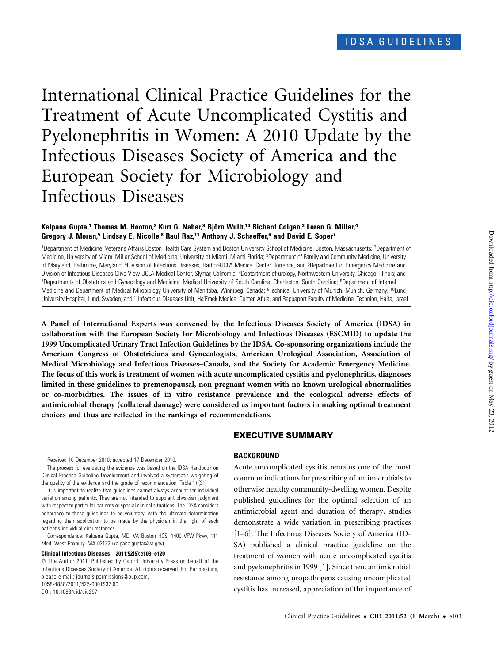International Clinical Practice Guidelines for the Treatment of Acute Uncomplicated Cystitis and Pyelonephritis in Women: A 2010 Update by the Infectious Diseases Society of America and the European Society for Microbiology and Infectious Diseases

#### Kalpana Gupta,<sup>1</sup> Thomas M. Hooton,<sup>2</sup> Kurt G. Naber,<sup>9</sup> Björn Wullt,<sup>10</sup> Richard Colgan,<sup>3</sup> Loren G. Miller,<sup>4</sup> Gregory J. Moran,<sup>5</sup> Lindsay E. Nicolle,<sup>8</sup> Raul Raz,<sup>11</sup> Anthony J. Schaeffer,<sup>6</sup> and David E. Soper<sup>7</sup>

<sup>1</sup>Department of Medicine, Veterans Affairs Boston Health Care System and Boston University School of Medicine, Boston, Massachusetts; <sup>2</sup>Department of Medicine, University of Miami Miller School of Medicine, University of Miami, Miami Florida; <sup>3</sup>Department of Family and Community Medicine, University of Maryland, Baltimore, Maryland, <sup>4</sup>Division of Infectious Diseases, Harbor-UCLA Medical Center, Torrance, and <sup>5</sup>Department of Emergency Medicine and Division of Infectious Diseases Olive View-UCLA Medical Center, Slymar, California; <sup>6</sup>Deptartment of urology, Northwestern University, Chicago, Illinois; and 7Departments of Obstetrics and Gynecology and Medicine, Medical University of South Carolina, Charleston, South Carolina; <sup>8</sup>Department of Internal Medicine and Department of Medical Mirobiology University of Manitoba, Winnipeg, Canada; <sup>9</sup>Technical University of Munich, Munich, Germany; <sup>10</sup>Lund University Hospital, Lund, Sweden; and 11Infectious Diseases Unit, Ha'Emek Medical Center, Afula, and Rappaport Faculty of Medicine, Technion, Haifa, Israel

A Panel of International Experts was convened by the Infectious Diseases Society of America (IDSA) in collaboration with the European Society for Microbiology and Infectious Diseases (ESCMID) to update the 1999 Uncomplicated Urinary Tract Infection Guidelines by the IDSA. Co-sponsoring organizations include the American Congress of Obstetricians and Gynecologists, American Urological Association, Association of Medical Microbiology and Infectious Diseases–Canada, and the Society for Academic Emergency Medicine. The focus of this work is treatment of women with acute uncomplicated cystitis and pyelonephritis, diagnoses limited in these guidelines to premenopausal, non-pregnant women with no known urological abnormalities or co-morbidities. The issues of in vitro resistance prevalence and the ecological adverse effects of antimicrobial therapy (collateral damage) were considered as important factors in making optimal treatment choices and thus are reflected in the rankings of recommendations.

Received 10 December 2010; accepted 17 December 2010.

The process for evaluating the evidence was based on the IDSA Handbook on Clinical Practice Guideline Development and involved a systematic weighting of the quality of the evidence and the grade of recommendation (Table 1) [31]

It is important to realize that guidelines cannot always account for individual variation among patients. They are not intended to supplant physician judgment with respect to particular patients or special clinical situations. The IDSA considers adherence to these guidelines to be voluntary, with the ultimate determination regarding their application to be made by the physician in the light of each patient's individual circumstances.

Correspondence: Kalpana Gupta, MD, VA Boston HCS, 1400 VFW Pkwy, 111 Med, West Roxbury, MA 02132 (kalpana.gupta@va.gov).

Clinical Infectious Diseases 2011;52(5):e103–e120

 The Author 2011. Published by Oxford University Press on behalf of the Infectious Diseases Society of America. All rights reserved. For Permissions, please e-mail: journals.permissions@oup.com. 1058-4838/2011/525-0001\$37.00 DOI: 10.1093/cid/ciq257

# EXECUTIVE SUMMARY

**BACKGROUND** 

Acute uncomplicated cystitis remains one of the most common indications for prescribing of antimicrobials to otherwise healthy community-dwelling women. Despite published guidelines for the optimal selection of an antimicrobial agent and duration of therapy, studies demonstrate a wide variation in prescribing practices [1–6]. The Infectious Diseases Society of America (ID-SA) published a clinical practice guideline on the treatment of women with acute uncomplicated cystitis and pyelonephritis in 1999 [1]. Since then, antimicrobial resistance among uropathogens causing uncomplicated cystitis has increased, appreciation of the importance of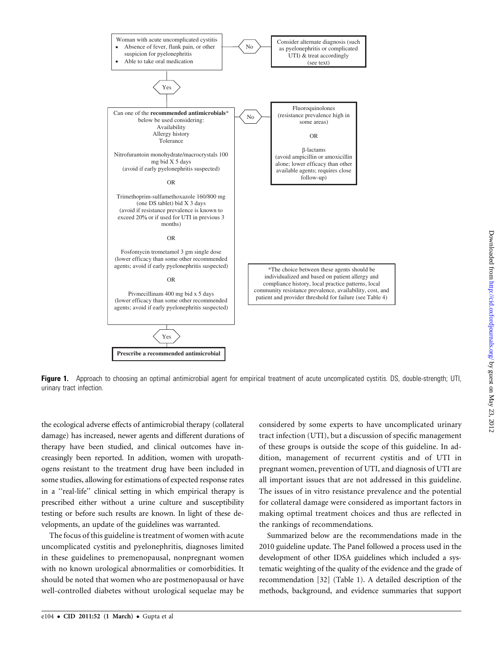

Figure 1. Approach to choosing an optimal antimicrobial agent for empirical treatment of acute uncomplicated cystitis. DS, double-strength; UTI, urinary tract infection.

the ecological adverse effects of antimicrobial therapy (collateral damage) has increased, newer agents and different durations of therapy have been studied, and clinical outcomes have increasingly been reported. In addition, women with uropathogens resistant to the treatment drug have been included in some studies, allowing for estimations of expected response rates in a ''real-life'' clinical setting in which empirical therapy is prescribed either without a urine culture and susceptibility testing or before such results are known. In light of these developments, an update of the guidelines was warranted.

The focus of this guideline is treatment of women with acute uncomplicated cystitis and pyelonephritis, diagnoses limited in these guidelines to premenopausal, nonpregnant women with no known urological abnormalities or comorbidities. It should be noted that women who are postmenopausal or have well-controlled diabetes without urological sequelae may be considered by some experts to have uncomplicated urinary tract infection (UTI), but a discussion of specific management of these groups is outside the scope of this guideline. In addition, management of recurrent cystitis and of UTI in pregnant women, prevention of UTI, and diagnosis of UTI are all important issues that are not addressed in this guideline. The issues of in vitro resistance prevalence and the potential for collateral damage were considered as important factors in making optimal treatment choices and thus are reflected in the rankings of recommendations.

Summarized below are the recommendations made in the 2010 guideline update. The Panel followed a process used in the development of other IDSA guidelines which included a systematic weighting of the quality of the evidence and the grade of recommendation [32] (Table 1). A detailed description of the methods, background, and evidence summaries that support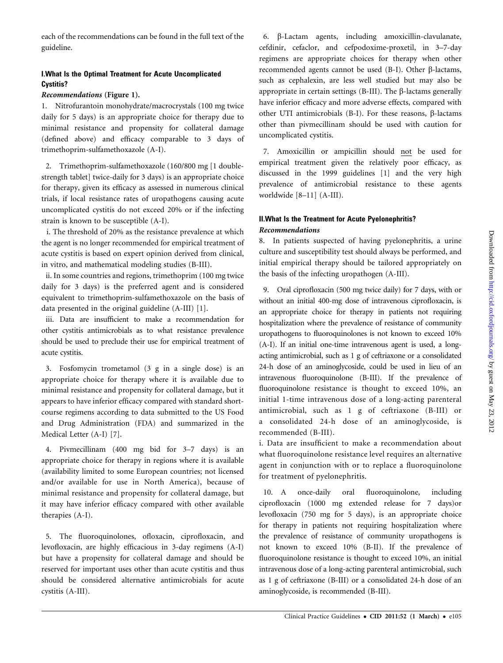each of the recommendations can be found in the full text of the guideline.

# I.What Is the Optimal Treatment for Acute Uncomplicated Cystitis?

## Recommendations (Figure 1).

1. Nitrofurantoin monohydrate/macrocrystals (100 mg twice daily for 5 days) is an appropriate choice for therapy due to minimal resistance and propensity for collateral damage (defined above) and efficacy comparable to 3 days of trimethoprim-sulfamethoxazole (A-I).

2. Trimethoprim-sulfamethoxazole (160/800 mg [1 doublestrength tablet] twice-daily for 3 days) is an appropriate choice for therapy, given its efficacy as assessed in numerous clinical trials, if local resistance rates of uropathogens causing acute uncomplicated cystitis do not exceed 20% or if the infecting strain is known to be susceptible (A-I).

i. The threshold of 20% as the resistance prevalence at which the agent is no longer recommended for empirical treatment of acute cystitis is based on expert opinion derived from clinical, in vitro, and mathematical modeling studies (B-III).

ii. In some countries and regions, trimethoprim (100 mg twice daily for 3 days) is the preferred agent and is considered equivalent to trimethoprim-sulfamethoxazole on the basis of data presented in the original guideline (A-III) [1].

iii. Data are insufficient to make a recommendation for other cystitis antimicrobials as to what resistance prevalence should be used to preclude their use for empirical treatment of acute cystitis.

3. Fosfomycin trometamol (3 g in a single dose) is an appropriate choice for therapy where it is available due to minimal resistance and propensity for collateral damage, but it appears to have inferior efficacy compared with standard shortcourse regimens according to data submitted to the US Food and Drug Administration (FDA) and summarized in the Medical Letter (A-I) [7].

4. Pivmecillinam (400 mg bid for 3–7 days) is an appropriate choice for therapy in regions where it is available (availability limited to some European countries; not licensed and/or available for use in North America), because of minimal resistance and propensity for collateral damage, but it may have inferior efficacy compared with other available therapies (A-I).

5. The fluoroquinolones, ofloxacin, ciprofloxacin, and levofloxacin, are highly efficacious in 3-day regimens (A-I) but have a propensity for collateral damage and should be reserved for important uses other than acute cystitis and thus should be considered alternative antimicrobials for acute cystitis (A-III).

6. b-Lactam agents, including amoxicillin-clavulanate, cefdinir, cefaclor, and cefpodoxime-proxetil, in 3–7-day regimens are appropriate choices for therapy when other recommended agents cannot be used  $(B-I)$ . Other  $\beta$ -lactams, such as cephalexin, are less well studied but may also be appropriate in certain settings (B-III). The  $\beta$ -lactams generally have inferior efficacy and more adverse effects, compared with other UTI antimicrobials (B-I). For these reasons,  $\beta$ -lactams other than pivmecillinam should be used with caution for uncomplicated cystitis.

7. Amoxicillin or ampicillin should not be used for empirical treatment given the relatively poor efficacy, as discussed in the 1999 guidelines [1] and the very high prevalence of antimicrobial resistance to these agents worldwide [8–11] (A-III).

# II.What Is the Treatment for Acute Pyelonephritis? Recommendations

8. In patients suspected of having pyelonephritis, a urine culture and susceptibility test should always be performed, and initial empirical therapy should be tailored appropriately on the basis of the infecting uropathogen (A-III).

9. Oral ciprofloxacin (500 mg twice daily) for 7 days, with or without an initial 400-mg dose of intravenous ciprofloxacin, is an appropriate choice for therapy in patients not requiring hospitalization where the prevalence of resistance of community uropathogens to fluoroquinolones is not known to exceed 10% (A-I). If an initial one-time intravenous agent is used, a longacting antimicrobial, such as 1 g of ceftriaxone or a consolidated 24-h dose of an aminoglycoside, could be used in lieu of an intravenous fluoroquinolone (B-III). If the prevalence of fluoroquinolone resistance is thought to exceed 10%, an initial 1-time intravenous dose of a long-acting parenteral antimicrobial, such as 1 g of ceftriaxone (B-III) or a consolidated 24-h dose of an aminoglycoside, is recommended (B-III).

i. Data are insufficient to make a recommendation about what fluoroquinolone resistance level requires an alternative agent in conjunction with or to replace a fluoroquinolone for treatment of pyelonephritis.

10. A once-daily oral fluoroquinolone, including ciprofloxacin (1000 mg extended release for 7 days)or levofloxacin (750 mg for 5 days), is an appropriate choice for therapy in patients not requiring hospitalization where the prevalence of resistance of community uropathogens is not known to exceed 10% (B-II). If the prevalence of fluoroquinolone resistance is thought to exceed 10%, an initial intravenous dose of a long-acting parenteral antimicrobial, such as 1 g of ceftriaxone (B-III) or a consolidated 24-h dose of an aminoglycoside, is recommended (B-III).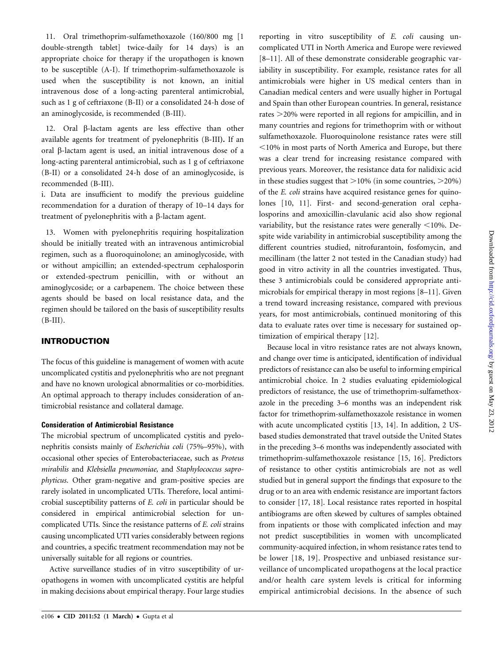11. Oral trimethoprim-sulfamethoxazole (160/800 mg [1 double-strength tablet] twice-daily for 14 days) is an appropriate choice for therapy if the uropathogen is known to be susceptible (A-I). If trimethoprim-sulfamethoxazole is used when the susceptibility is not known, an initial intravenous dose of a long-acting parenteral antimicrobial, such as 1 g of ceftriaxone (B-II) or a consolidated 24-h dose of an aminoglycoside, is recommended (B-III).

12. Oral  $\beta$ -lactam agents are less effective than other available agents for treatment of pyelonephritis (B-III). If an oral b-lactam agent is used, an initial intravenous dose of a long-acting parenteral antimicrobial, such as 1 g of ceftriaxone (B-II) or a consolidated 24-h dose of an aminoglycoside, is recommended (B-III).

i. Data are insufficient to modify the previous guideline recommendation for a duration of therapy of 10–14 days for treatment of pyelonephritis with a  $\beta$ -lactam agent.

13. Women with pyelonephritis requiring hospitalization should be initially treated with an intravenous antimicrobial regimen, such as a fluoroquinolone; an aminoglycoside, with or without ampicillin; an extended-spectrum cephalosporin or extended-spectrum penicillin, with or without an aminoglycoside; or a carbapenem. The choice between these agents should be based on local resistance data, and the regimen should be tailored on the basis of susceptibility results  $(B-III).$ 

# INTRODUCTION

The focus of this guideline is management of women with acute uncomplicated cystitis and pyelonephritis who are not pregnant and have no known urological abnormalities or co-morbidities. An optimal approach to therapy includes consideration of antimicrobial resistance and collateral damage.

## Consideration of Antimicrobial Resistance

The microbial spectrum of uncomplicated cystitis and pyelonephritis consists mainly of Escherichia coli (75%–95%), with occasional other species of Enterobacteriaceae, such as Proteus mirabilis and Klebsiella pneumoniae, and Staphylococcus saprophyticus. Other gram-negative and gram-positive species are rarely isolated in uncomplicated UTIs. Therefore, local antimicrobial susceptibility patterns of E. coli in particular should be considered in empirical antimicrobial selection for uncomplicated UTIs. Since the resistance patterns of E. coli strains causing uncomplicated UTI varies considerably between regions and countries, a specific treatment recommendation may not be universally suitable for all regions or countries.

Active surveillance studies of in vitro susceptibility of uropathogens in women with uncomplicated cystitis are helpful in making decisions about empirical therapy. Four large studies

e106 · CID 2011:52 (1 March) · Gupta et al

reporting in vitro susceptibility of E. coli causing uncomplicated UTI in North America and Europe were reviewed [8–11]. All of these demonstrate considerable geographic variability in susceptibility. For example, resistance rates for all antimicrobials were higher in US medical centers than in Canadian medical centers and were usually higher in Portugal and Spain than other European countries. In general, resistance rates >20% were reported in all regions for ampicillin, and in many countries and regions for trimethoprim with or without sulfamethoxazole. Fluoroquinolone resistance rates were still  $<$ 10% in most parts of North America and Europe, but there was a clear trend for increasing resistance compared with previous years. Moreover, the resistance data for nalidixic acid in these studies suggest that  $>10\%$  (in some countries,  $>20\%$ ) of the E. coli strains have acquired resistance genes for quinolones [10, 11]. First- and second-generation oral cephalosporins and amoxicillin-clavulanic acid also show regional variability, but the resistance rates were generally  $\leq$ 10%. Despite wide variability in antimicrobial susceptibility among the different countries studied, nitrofurantoin, fosfomycin, and mecillinam (the latter 2 not tested in the Canadian study) had good in vitro activity in all the countries investigated. Thus, these 3 antimicrobials could be considered appropriate antimicrobials for empirical therapy in most regions [8–11]. Given a trend toward increasing resistance, compared with previous years, for most antimicrobials, continued monitoring of this data to evaluate rates over time is necessary for sustained optimization of empirical therapy [12].

Because local in vitro resistance rates are not always known, and change over time is anticipated, identification of individual predictors of resistance can also be useful to informing empirical antimicrobial choice. In 2 studies evaluating epidemiological predictors of resistance, the use of trimethoprim-sulfamethoxazole in the preceding 3–6 months was an independent risk factor for trimethoprim-sulfamethoxazole resistance in women with acute uncomplicated cystitis [13, 14]. In addition, 2 USbased studies demonstrated that travel outside the United States in the preceding 3–6 months was independently associated with trimethoprim-sulfamethoxazole resistance [15, 16]. Predictors of resistance to other cystitis antimicrobials are not as well studied but in general support the findings that exposure to the drug or to an area with endemic resistance are important factors to consider [17, 18]. Local resistance rates reported in hospital antibiograms are often skewed by cultures of samples obtained from inpatients or those with complicated infection and may not predict susceptibilities in women with uncomplicated community-acquired infection, in whom resistance rates tend to be lower [18, 19]. Prospective and unbiased resistance surveillance of uncomplicated uropathogens at the local practice and/or health care system levels is critical for informing empirical antimicrobial decisions. In the absence of such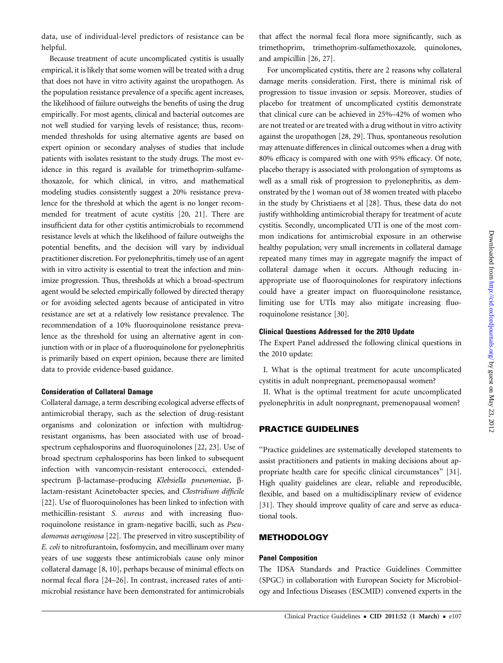Because treatment of acute uncomplicated cystitis is usually empirical, it is likely that some women will be treated with a drug that does not have in vitro activity against the uropathogen. As the population resistance prevalence of a specific agent increases, the likelihood of failure outweighs the benefits of using the drug empirically. For most agents, clinical and bacterial outcomes are not well studied for varying levels of resistance; thus, recommended thresholds for using alternative agents are based on expert opinion or secondary analyses of studies that include patients with isolates resistant to the study drugs. The most evidence in this regard is available for trimethoprim-sulfamethoxazole, for which clinical, in vitro, and mathematical modeling studies consistently suggest a 20% resistance prevalence for the threshold at which the agent is no longer recommended for treatment of acute cystitis [20, 21]. There are insufficient data for other cystitis antimicrobials to recommend resistance levels at which the likelihood of failure outweighs the potential benefits, and the decision will vary by individual practitioner discretion. For pyelonephritis, timely use of an agent with in vitro activity is essential to treat the infection and minimize progression. Thus, thresholds at which a broad-spectrum agent would be selected empirically followed by directed therapy or for avoiding selected agents because of anticipated in vitro resistance are set at a relatively low resistance prevalence. The recommendation of a 10% fluoroquinolone resistance prevalence as the threshold for using an alternative agent in conjunction with or in place of a fluoroquinolone for pyelonephritis is primarily based on expert opinion, because there are limited data to provide evidence-based guidance.

#### Consideration of Collateral Damage

Collateral damage, a term describing ecological adverse effects of antimicrobial therapy, such as the selection of drug-resistant organisms and colonization or infection with multidrugresistant organisms, has been associated with use of broadspectrum cephalosporins and fluoroquinolones [22, 23]. Use of broad spectrum cephalosporins has been linked to subsequent infection with vancomycin-resistant enterococci, extendedspectrum β-lactamase–producing Klebsiella pneumoniae, βlactam-resistant Acinetobacter species, and Clostridium difficile [22]. Use of fluoroquinolones has been linked to infection with methicillin-resistant S. aureus and with increasing fluoroquinolone resistance in gram-negative bacilli, such as Pseudomonas aeruginosa [22]. The preserved in vitro susceptibility of E. coli to nitrofurantoin, fosfomycin, and mecillinam over many years of use suggests these antimicrobials cause only minor collateral damage [8, 10], perhaps because of minimal effects on normal fecal flora [24–26]. In contrast, increased rates of antimicrobial resistance have been demonstrated for antimicrobials

that affect the normal fecal flora more significantly, such as trimethoprim, trimethoprim-sulfamethoxazole, quinolones, and ampicillin [26, 27].

For uncomplicated cystitis, there are 2 reasons why collateral damage merits consideration. First, there is minimal risk of progression to tissue invasion or sepsis. Moreover, studies of placebo for treatment of uncomplicated cystitis demonstrate that clinical cure can be achieved in 25%–42% of women who are not treated or are treated with a drug without in vitro activity against the uropathogen [28, 29]. Thus, spontaneous resolution may attenuate differences in clinical outcomes when a drug with 80% efficacy is compared with one with 95% efficacy. Of note, placebo therapy is associated with prolongation of symptoms as well as a small risk of progression to pyelonephritis, as demonstrated by the 1 woman out of 38 women treated with placebo in the study by Christiaens et al [28]. Thus, these data do not justify withholding antimicrobial therapy for treatment of acute cystitis. Secondly, uncomplicated UTI is one of the most common indications for antimicrobial exposure in an otherwise healthy population; very small increments in collateral damage repeated many times may in aggregate magnify the impact of collateral damage when it occurs. Although reducing inappropriate use of fluoroquinolones for respiratory infections could have a greater impact on fluoroquinolone resistance, limiting use for UTIs may also mitigate increasing fluoroquinolone resistance [30].

## Clinical Questions Addressed for the 2010 Update

The Expert Panel addressed the following clinical questions in the 2010 update:

I. What is the optimal treatment for acute uncomplicated cystitis in adult nonpregnant, premenopausal women?

II. What is the optimal treatment for acute uncomplicated pyelonephritis in adult nonpregnant, premenopausal women?

# PRACTICE GUIDELINES

''Practice guidelines are systematically developed statements to assist practitioners and patients in making decisions about appropriate health care for specific clinical circumstances'' [31]. High quality guidelines are clear, reliable and reproducible, flexible, and based on a multidisciplinary review of evidence [31]. They should improve quality of care and serve as educational tools.

# **METHODOLOGY**

# Panel Composition

The IDSA Standards and Practice Guidelines Committee (SPGC) in collaboration with European Society for Microbiology and Infectious Diseases (ESCMID) convened experts in the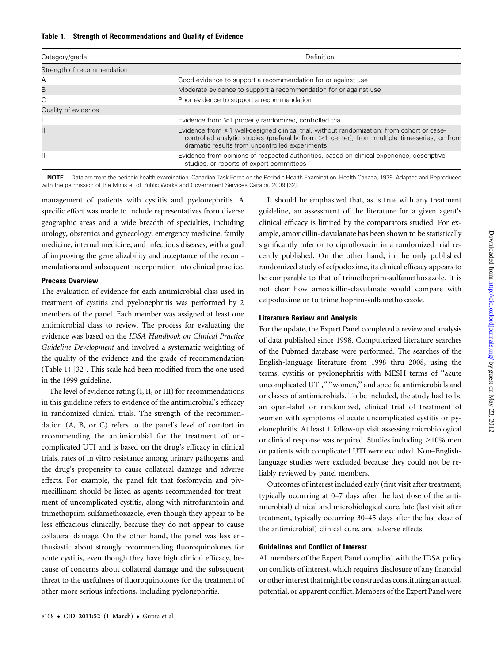#### Table 1. Strength of Recommendations and Quality of Evidence

| Category/grade             | Definition                                                                                                                                                                                                                                        |  |  |  |  |
|----------------------------|---------------------------------------------------------------------------------------------------------------------------------------------------------------------------------------------------------------------------------------------------|--|--|--|--|
| Strength of recommendation |                                                                                                                                                                                                                                                   |  |  |  |  |
| А                          | Good evidence to support a recommendation for or against use                                                                                                                                                                                      |  |  |  |  |
| B                          | Moderate evidence to support a recommendation for or against use                                                                                                                                                                                  |  |  |  |  |
| C                          | Poor evidence to support a recommendation                                                                                                                                                                                                         |  |  |  |  |
| Quality of evidence        |                                                                                                                                                                                                                                                   |  |  |  |  |
|                            | Evidence from $\geq 1$ properly randomized, controlled trial                                                                                                                                                                                      |  |  |  |  |
| $\mathbf{H}$               | Evidence from $\geq 1$ well-designed clinical trial, without randomization; from cohort or case-<br>controlled analytic studies (preferably from >1 center); from multiple time-series; or from<br>dramatic results from uncontrolled experiments |  |  |  |  |
| $\mathbf{III}$             | Evidence from opinions of respected authorities, based on clinical experience, descriptive<br>studies, or reports of expert committees                                                                                                            |  |  |  |  |

NOTE. Data are from the periodic health examination. Canadian Task Force on the Periodic Health Examination. Health Canada*,* 1979. Adapted and Reproduced with the permission of the Minister of Public Works and Government Services Canada, 2009 [32].

management of patients with cystitis and pyelonephritis. A specific effort was made to include representatives from diverse geographic areas and a wide breadth of specialties, including urology, obstetrics and gynecology, emergency medicine, family medicine, internal medicine, and infectious diseases, with a goal of improving the generalizability and acceptance of the recommendations and subsequent incorporation into clinical practice.

#### Process Overview

The evaluation of evidence for each antimicrobial class used in treatment of cystitis and pyelonephritis was performed by 2 members of the panel. Each member was assigned at least one antimicrobial class to review. The process for evaluating the evidence was based on the IDSA Handbook on Clinical Practice Guideline Development and involved a systematic weighting of the quality of the evidence and the grade of recommendation (Table 1) [32]. This scale had been modified from the one used in the 1999 guideline.

The level of evidence rating (I, II, or III) for recommendations in this guideline refers to evidence of the antimicrobial's efficacy in randomized clinical trials. The strength of the recommendation (A, B, or C) refers to the panel's level of comfort in recommending the antimicrobial for the treatment of uncomplicated UTI and is based on the drug's efficacy in clinical trials, rates of in vitro resistance among urinary pathogens, and the drug's propensity to cause collateral damage and adverse effects. For example, the panel felt that fosfomycin and pivmecillinam should be listed as agents recommended for treatment of uncomplicated cystitis, along with nitrofurantoin and trimethoprim-sulfamethoxazole, even though they appear to be less efficacious clinically, because they do not appear to cause collateral damage. On the other hand, the panel was less enthusiastic about strongly recommending fluoroquinolones for acute cystitis, even though they have high clinical efficacy, because of concerns about collateral damage and the subsequent threat to the usefulness of fluoroquinolones for the treatment of other more serious infections, including pyelonephritis.

It should be emphasized that, as is true with any treatment guideline, an assessment of the literature for a given agent's clinical efficacy is limited by the comparators studied. For example, amoxicillin-clavulanate has been shown to be statistically significantly inferior to ciprofloxacin in a randomized trial recently published. On the other hand, in the only published randomized study of cefpodoxime, its clinical efficacy appears to be comparable to that of trimethoprim-sulfamethoxazole. It is not clear how amoxicillin-clavulanate would compare with cefpodoxime or to trimethoprim-sulfamethoxazole.

#### Literature Review and Analysis

For the update, the Expert Panel completed a review and analysis of data published since 1998. Computerized literature searches of the Pubmed database were performed. The searches of the English-language literature from 1998 thru 2008, using the terms, cystitis or pyelonephritis with MESH terms of ''acute uncomplicated UTI,'' ''women,'' and specific antimicrobials and or classes of antimicrobials. To be included, the study had to be an open-label or randomized, clinical trial of treatment of women with symptoms of acute uncomplicated cystitis or pyelonephritis. At least 1 follow-up visit assessing microbiological or clinical response was required. Studies including  $>10\%$  men or patients with complicated UTI were excluded. Non–Englishlanguage studies were excluded because they could not be reliably reviewed by panel members.

Outcomes of interest included early (first visit after treatment, typically occurring at 0–7 days after the last dose of the antimicrobial) clinical and microbiological cure, late (last visit after treatment, typically occurring 30–45 days after the last dose of the antimicrobial) clinical cure, and adverse effects.

#### Guidelines and Conflict of Interest

All members of the Expert Panel complied with the IDSA policy on conflicts of interest, which requires disclosure of any financial or other interest that might be construed as constituting an actual, potential, or apparent conflict. Members of the Expert Panel were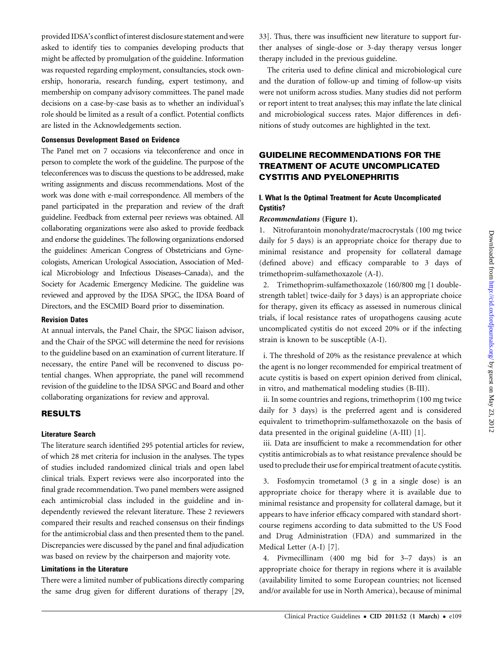provided IDSA's conflict of interest disclosure statement and were asked to identify ties to companies developing products that might be affected by promulgation of the guideline. Information was requested regarding employment, consultancies, stock ownership, honoraria, research funding, expert testimony, and membership on company advisory committees. The panel made decisions on a case-by-case basis as to whether an individual's role should be limited as a result of a conflict. Potential conflicts are listed in the Acknowledgements section.

## Consensus Development Based on Evidence

The Panel met on 7 occasions via teleconference and once in person to complete the work of the guideline. The purpose of the teleconferences was to discuss the questions to be addressed, make writing assignments and discuss recommendations. Most of the work was done with e-mail correspondence. All members of the panel participated in the preparation and review of the draft guideline. Feedback from external peer reviews was obtained. All collaborating organizations were also asked to provide feedback and endorse the guidelines. The following organizations endorsed the guidelines: American Congress of Obstetricians and Gynecologists, American Urological Association, Association of Medical Microbiology and Infectious Diseases–Canada), and the Society for Academic Emergency Medicine. The guideline was reviewed and approved by the IDSA SPGC, the IDSA Board of Directors, and the ESCMID Board prior to dissemination.

#### Revision Dates

At annual intervals, the Panel Chair, the SPGC liaison advisor, and the Chair of the SPGC will determine the need for revisions to the guideline based on an examination of current literature. If necessary, the entire Panel will be reconvened to discuss potential changes. When appropriate, the panel will recommend revision of the guideline to the IDSA SPGC and Board and other collaborating organizations for review and approval.

## RESULTS

## Literature Search

The literature search identified 295 potential articles for review, of which 28 met criteria for inclusion in the analyses. The types of studies included randomized clinical trials and open label clinical trials. Expert reviews were also incorporated into the final grade recommendation. Two panel members were assigned each antimicrobial class included in the guideline and independently reviewed the relevant literature. These 2 reviewers compared their results and reached consensus on their findings for the antimicrobial class and then presented them to the panel. Discrepancies were discussed by the panel and final adjudication was based on review by the chairperson and majority vote.

## Limitations in the Literature

There were a limited number of publications directly comparing the same drug given for different durations of therapy [29,

33]. Thus, there was insufficient new literature to support further analyses of single-dose or 3-day therapy versus longer therapy included in the previous guideline.

The criteria used to define clinical and microbiological cure and the duration of follow-up and timing of follow-up visits were not uniform across studies. Many studies did not perform or report intent to treat analyses; this may inflate the late clinical and microbiological success rates. Major differences in definitions of study outcomes are highlighted in the text.

# GUIDELINE RECOMMENDATIONS FOR THE TREATMENT OF ACUTE UNCOMPLICATED CYSTITIS AND PYELONEPHRITIS

# I. What Is the Optimal Treatment for Acute Uncomplicated Cystitis?

#### Recommendations (Figure 1).

1. Nitrofurantoin monohydrate/macrocrystals (100 mg twice daily for 5 days) is an appropriate choice for therapy due to minimal resistance and propensity for collateral damage (defined above) and efficacy comparable to 3 days of trimethoprim-sulfamethoxazole (A-I).

2. Trimethoprim-sulfamethoxazole (160/800 mg [1 doublestrength tablet] twice-daily for 3 days) is an appropriate choice for therapy, given its efficacy as assessed in numerous clinical trials, if local resistance rates of uropathogens causing acute uncomplicated cystitis do not exceed 20% or if the infecting strain is known to be susceptible (A-I).

i. The threshold of 20% as the resistance prevalence at which the agent is no longer recommended for empirical treatment of acute cystitis is based on expert opinion derived from clinical, in vitro, and mathematical modeling studies (B-III).

ii. In some countries and regions, trimethoprim (100 mg twice daily for 3 days) is the preferred agent and is considered equivalent to trimethoprim-sulfamethoxazole on the basis of data presented in the original guideline (A-III) [1].

iii. Data are insufficient to make a recommendation for other cystitis antimicrobials as to what resistance prevalence should be used to preclude their use for empirical treatment of acute cystitis.

3. Fosfomycin trometamol (3 g in a single dose) is an appropriate choice for therapy where it is available due to minimal resistance and propensity for collateral damage, but it appears to have inferior efficacy compared with standard shortcourse regimens according to data submitted to the US Food and Drug Administration (FDA) and summarized in the Medical Letter (A-I) [7].

4. Pivmecillinam (400 mg bid for 3–7 days) is an appropriate choice for therapy in regions where it is available (availability limited to some European countries; not licensed and/or available for use in North America), because of minimal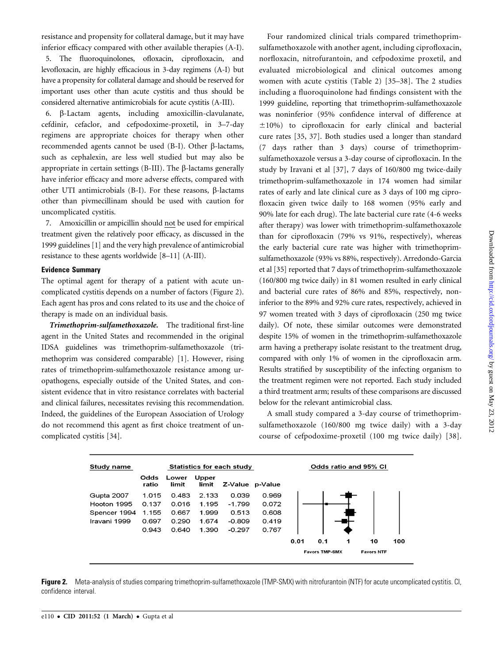resistance and propensity for collateral damage, but it may have inferior efficacy compared with other available therapies (A-I). 5. The fluoroquinolones, ofloxacin, ciprofloxacin, and levofloxacin, are highly efficacious in 3-day regimens (A-I) but have a propensity for collateral damage and should be reserved for important uses other than acute cystitis and thus should be considered alternative antimicrobials for acute cystitis (A-III).

6. b-Lactam agents, including amoxicillin-clavulanate, cefdinir, cefaclor, and cefpodoxime-proxetil, in 3–7-day regimens are appropriate choices for therapy when other recommended agents cannot be used  $(B-I)$ . Other  $\beta$ -lactams, such as cephalexin, are less well studied but may also be appropriate in certain settings  $(B-III)$ . The  $\beta$ -lactams generally have inferior efficacy and more adverse effects, compared with other UTI antimicrobials (B-I). For these reasons,  $\beta$ -lactams other than pivmecillinam should be used with caution for uncomplicated cystitis.

7. Amoxicillin or ampicillin should not be used for empirical treatment given the relatively poor efficacy, as discussed in the 1999 guidelines [1] and the very high prevalence of antimicrobial resistance to these agents worldwide [8–11] (A-III).

#### Evidence Summary

The optimal agent for therapy of a patient with acute uncomplicated cystitis depends on a number of factors (Figure 2). Each agent has pros and cons related to its use and the choice of therapy is made on an individual basis.

Trimethoprim-sulfamethoxazole. The traditional first-line agent in the United States and recommended in the original IDSA guidelines was trimethoprim-sulfamethoxazole (trimethoprim was considered comparable) [1]. However, rising rates of trimethoprim-sulfamethoxazole resistance among uropathogens, especially outside of the United States, and consistent evidence that in vitro resistance correlates with bacterial and clinical failures, necessitates revising this recommendation. Indeed, the guidelines of the European Association of Urology do not recommend this agent as first choice treatment of uncomplicated cystitis [34].

Four randomized clinical trials compared trimethoprimsulfamethoxazole with another agent, including ciprofloxacin, norfloxacin, nitrofurantoin, and cefpodoxime proxetil, and evaluated microbiological and clinical outcomes among women with acute cystitis (Table 2) [35–38]. The 2 studies including a fluoroquinolone had findings consistent with the 1999 guideline, reporting that trimethoprim-sulfamethoxazole was noninferior (95% confidence interval of difference at  $\pm 10\%$ ) to ciprofloxacin for early clinical and bacterial cure rates [35, 37]. Both studies used a longer than standard (7 days rather than 3 days) course of trimethoprimsulfamethoxazole versus a 3-day course of ciprofloxacin. In the study by Iravani et al [37], 7 days of 160/800 mg twice-daily trimethoprim-sulfamethoxazole in 174 women had similar rates of early and late clinical cure as 3 days of 100 mg ciprofloxacin given twice daily to 168 women (95% early and 90% late for each drug). The late bacterial cure rate (4-6 weeks after therapy) was lower with trimethoprim-sulfamethoxazole than for ciprofloxacin (79% vs 91%, respectively), whereas the early bacterial cure rate was higher with trimethoprimsulfamethoxazole (93% vs 88%, respectively). Arredondo-Garcia et al [35] reported that 7 days of trimethoprim-sulfamethoxazole (160/800 mg twice daily) in 81 women resulted in early clinical and bacterial cure rates of 86% and 85%, respectively, noninferior to the 89% and 92% cure rates, respectively, achieved in 97 women treated with 3 days of ciprofloxacin (250 mg twice daily). Of note, these similar outcomes were demonstrated despite 15% of women in the trimethoprim-sulfamethoxazole arm having a pretherapy isolate resistant to the treatment drug, compared with only 1% of women in the ciprofloxacin arm. Results stratified by susceptibility of the infecting organism to the treatment regimen were not reported. Each study included a third treatment arm; results of these comparisons are discussed below for the relevant antimicrobial class.

A small study compared a 3-day course of trimethoprimsulfamethoxazole (160/800 mg twice daily) with a 3-day course of cefpodoxime-proxetil (100 mg twice daily) [38].

| <b>Study name</b> | Statistics for each study |                |                |          |         |                       |     | Odds ratio and 95% CI |    |     |
|-------------------|---------------------------|----------------|----------------|----------|---------|-----------------------|-----|-----------------------|----|-----|
|                   | Odds<br>ratio             | Lower<br>limit | Upper<br>limit | Z-Value  | p-Value |                       |     |                       |    |     |
| Gupta 2007        | 1.015                     | 0.483          | 2.133          | 0.039    | 0.969   |                       |     |                       |    |     |
| Hooton 1995       | 0.137                     | 0.016          | 1.195          | $-1.799$ | 0.072   |                       |     |                       |    |     |
| Spencer 1994      | 1.155                     | 0.667          | 1.999          | 0.513    | 0.608   |                       |     |                       |    |     |
| Iravani 1999      | 0.697                     | 0.290          | 1.674          | $-0.809$ | 0.419   |                       |     |                       |    |     |
|                   | 0.943                     | 0.640          | 1.390          | $-0.297$ | 0.767   |                       |     |                       |    |     |
|                   |                           |                |                |          |         | 0.01                  | 0.1 | 1                     | 10 | 100 |
|                   |                           |                |                |          |         | <b>Favors TMP-SMX</b> |     | <b>Favors NTF</b>     |    |     |

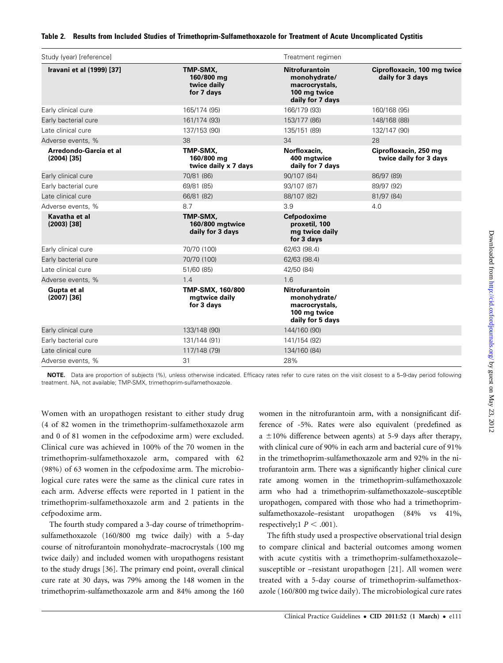Table 2. Results from Included Studies of Trimethoprim-Sulfamethoxazole for Treatment of Acute Uncomplicated Cystitis

| Study (year) [reference]                |                                                     | Treatment regimen                                                                           |                                                 |
|-----------------------------------------|-----------------------------------------------------|---------------------------------------------------------------------------------------------|-------------------------------------------------|
| Iravani et al (1999) [37]               | TMP-SMX,<br>160/800 mg<br>twice daily<br>for 7 days | <b>Nitrofurantoin</b><br>monohydrate/<br>macrocrystals,<br>100 mg twice<br>daily for 7 days | Ciprofloxacin, 100 mg twice<br>daily for 3 days |
| Early clinical cure                     | 165/174 (95)                                        | 166/179 (93)                                                                                | 160/168 (95)                                    |
| Early bacterial cure                    | 161/174 (93)                                        | 153/177 (86)                                                                                | 148/168 (88)                                    |
| Late clinical cure                      | 137/153 (90)                                        | 135/151 (89)                                                                                | 132/147 (90)                                    |
| Adverse events, %                       | 38                                                  | 34                                                                                          | 28                                              |
| Arredondo-Garcia et al<br>$(2004)$ [35] | TMP-SMX,<br>160/800 mg<br>twice daily x 7 days      | Norfloxacin,<br>400 mgtwice<br>daily for 7 days                                             | Ciprofloxacin, 250 mg<br>twice daily for 3 days |
| Early clinical cure                     | 70/81 (86)                                          | 90/107 (84)                                                                                 | 86/97 (89)                                      |
| Early bacterial cure                    | 69/81 (85)                                          | 93/107 (87)                                                                                 | 89/97 (92)                                      |
| Late clinical cure                      | 66/81 (82)                                          | 88/107 (82)                                                                                 | 81/97 (84)                                      |
| Adverse events, %                       | 8.7                                                 | 3.9                                                                                         | 4.0                                             |
| Kavatha et al<br>$(2003)$ [38]          | TMP-SMX,<br>160/800 mgtwice<br>daily for 3 days     | Cefpodoxime<br>proxetil, 100<br>mg twice daily<br>for 3 days                                |                                                 |
| Early clinical cure                     | 70/70 (100)                                         | 62/63 (98.4)                                                                                |                                                 |
| Early bacterial cure                    | 70/70 (100)                                         | 62/63 (98.4)                                                                                |                                                 |
| Late clinical cure                      | 51/60 (85)                                          | 42/50 (84)                                                                                  |                                                 |
| Adverse events, %                       | 1.4                                                 | 1.6                                                                                         |                                                 |
| Gupta et al<br>$(2007)$ [36]            | TMP-SMX, 160/800<br>mgtwice daily<br>for 3 days     | <b>Nitrofurantoin</b><br>monohydrate/<br>macrocrystals,<br>100 mg twice<br>daily for 5 days |                                                 |
| Early clinical cure                     | 133/148 (90)                                        | 144/160 (90)                                                                                |                                                 |
| Early bacterial cure                    | 131/144 (91)                                        | 141/154 (92)                                                                                |                                                 |
| Late clinical cure                      | 117/148 (79)                                        | 134/160 (84)                                                                                |                                                 |
| Adverse events, %                       | 31                                                  | 28%                                                                                         |                                                 |

NOTE. Data are proportion of subjects (%), unless otherwise indicated. Efficacy rates refer to cure rates on the visit closest to a 5-9-day period following treatment. NA, not available; TMP-SMX, trimethoprim-sulfamethoxazole.

Women with an uropathogen resistant to either study drug (4 of 82 women in the trimethoprim-sulfamethoxazole arm and 0 of 81 women in the cefpodoxime arm) were excluded. Clinical cure was achieved in 100% of the 70 women in the trimethoprim-sulfamethoxazole arm, compared with 62 (98%) of 63 women in the cefpodoxime arm. The microbiological cure rates were the same as the clinical cure rates in each arm. Adverse effects were reported in 1 patient in the trimethoprim-sulfamethoxazole arm and 2 patients in the cefpodoxime arm.

The fourth study compared a 3-day course of trimethoprimsulfamethoxazole (160/800 mg twice daily) with a 5-day course of nitrofurantoin monohydrate–macrocrystals (100 mg twice daily) and included women with uropathogens resistant to the study drugs [36]. The primary end point, overall clinical cure rate at 30 days, was 79% among the 148 women in the trimethoprim-sulfamethoxazole arm and 84% among the 160

women in the nitrofurantoin arm, with a nonsignificant difference of -5%. Rates were also equivalent (predefined as a  $\pm 10\%$  difference between agents) at 5-9 days after therapy, with clinical cure of 90% in each arm and bacterial cure of 91% in the trimethoprim-sulfamethoxazole arm and 92% in the nitrofurantoin arm. There was a significantly higher clinical cure rate among women in the trimethoprim-sulfamethoxazole arm who had a trimethoprim-sulfamethoxazole–susceptible uropathogen, compared with those who had a trimethoprimsulfamethoxazole–resistant uropathogen (84% vs 41%, respectively;  $1 P < .001$ ).

The fifth study used a prospective observational trial design to compare clinical and bacterial outcomes among women with acute cystitis with a trimethoprim-sulfamethoxazole– susceptible or –resistant uropathogen [21]. All women were treated with a 5-day course of trimethoprim-sulfamethoxazole (160/800 mg twice daily). The microbiological cure rates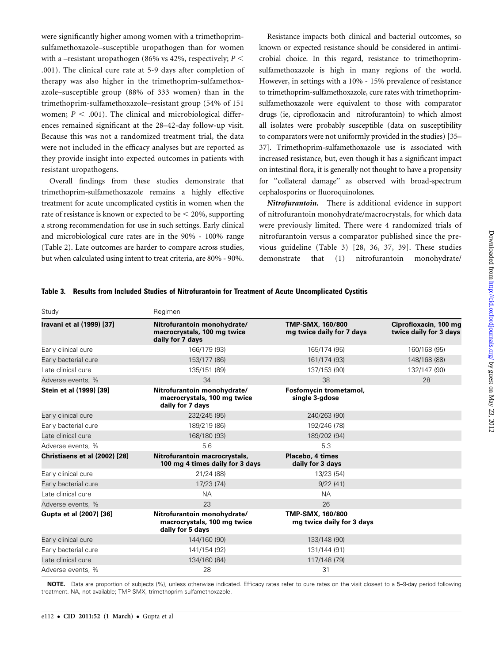were significantly higher among women with a trimethoprimsulfamethoxazole–susceptible uropathogen than for women with a –resistant uropathogen (86% vs 42%, respectively;  $P <$ .001). The clinical cure rate at 5-9 days after completion of therapy was also higher in the trimethoprim-sulfamethoxazole–susceptible group (88% of 333 women) than in the trimethoprim-sulfamethoxazole–resistant group (54% of 151 women;  $P < .001$ ). The clinical and microbiological differences remained significant at the 28–42-day follow-up visit. Because this was not a randomized treatment trial, the data were not included in the efficacy analyses but are reported as they provide insight into expected outcomes in patients with resistant uropathogens.

Overall findings from these studies demonstrate that trimethoprim-sulfamethoxazole remains a highly effective treatment for acute uncomplicated cystitis in women when the rate of resistance is known or expected to be  $\leq 20\%$ , supporting a strong recommendation for use in such settings. Early clinical and microbiological cure rates are in the 90% - 100% range (Table 2). Late outcomes are harder to compare across studies, but when calculated using intent to treat criteria, are 80% - 90%.

Resistance impacts both clinical and bacterial outcomes, so known or expected resistance should be considered in antimicrobial choice. In this regard, resistance to trimethoprimsulfamethoxazole is high in many regions of the world. However, in settings with a 10% - 15% prevalence of resistance to trimethoprim-sulfamethoxazole, cure rates with trimethoprimsulfamethoxazole were equivalent to those with comparator drugs (ie, ciprofloxacin and nitrofurantoin) to which almost all isolates were probably susceptible (data on susceptibility to comparators were not uniformly provided in the studies) [35– 37]. Trimethoprim-sulfamethoxazole use is associated with increased resistance, but, even though it has a significant impact on intestinal flora, it is generally not thought to have a propensity for ''collateral damage'' as observed with broad-spectrum cephalosporins or fluoroquinolones.

Nitrofurantoin. There is additional evidence in support of nitrofurantoin monohydrate/macrocrystals, for which data were previously limited. There were 4 randomized trials of nitrofurantoin versus a comparator published since the previous guideline (Table 3) [28, 36, 37, 39]. These studies demonstrate that (1) nitrofurantoin monohydrate/

| Study                         | Regimen                                                                        |                                                      |                                                 |
|-------------------------------|--------------------------------------------------------------------------------|------------------------------------------------------|-------------------------------------------------|
| Iravani et al (1999) [37]     | Nitrofurantoin monohydrate/<br>macrocrystals, 100 mg twice<br>daily for 7 days | <b>TMP-SMX, 160/800</b><br>mg twice daily for 7 days | Ciprofloxacin, 100 mg<br>twice daily for 3 days |
| Early clinical cure           | 166/179 (93)                                                                   | 165/174 (95)                                         | 160/168 (95)                                    |
| Early bacterial cure          | 153/177 (86)                                                                   | 161/174 (93)                                         | 148/168 (88)                                    |
| Late clinical cure            | 135/151 (89)                                                                   | 137/153 (90)                                         | 132/147 (90)                                    |
| Adverse events, %             | 34                                                                             | 38                                                   | 28                                              |
| Stein et al (1999) [39]       | Nitrofurantoin monohydrate/<br>macrocrystals, 100 mg twice<br>daily for 7 days | Fosfomycin trometamol,<br>single 3-gdose             |                                                 |
| Early clinical cure           | 232/245 (95)                                                                   | 240/263 (90)                                         |                                                 |
| Early bacterial cure          | 189/219 (86)                                                                   | 192/246 (78)                                         |                                                 |
| Late clinical cure            | 168/180 (93)                                                                   | 189/202 (94)                                         |                                                 |
| Adverse events, %             | 5.6                                                                            | 5.3                                                  |                                                 |
| Christiaens et al (2002) [28] | Nitrofurantoin macrocrystals,<br>100 mg 4 times daily for 3 days               | Placebo, 4 times<br>daily for 3 days                 |                                                 |
| Early clinical cure           | 21/24 (88)                                                                     | 13/23 (54)                                           |                                                 |
| Early bacterial cure          | 17/23 (74)                                                                     | 9/22(41)                                             |                                                 |
| Late clinical cure            | <b>NA</b>                                                                      | <b>NA</b>                                            |                                                 |
| Adverse events, %             | 23                                                                             | 26                                                   |                                                 |
| Gupta et al (2007) [36]       | Nitrofurantoin monohydrate/<br>macrocrystals, 100 mg twice<br>daily for 5 days | TMP-SMX, 160/800<br>mg twice daily for 3 days        |                                                 |
| Early clinical cure           | 144/160 (90)                                                                   | 133/148 (90)                                         |                                                 |
| Early bacterial cure          | 141/154 (92)                                                                   | 131/144 (91)                                         |                                                 |
| Late clinical cure            | 134/160 (84)                                                                   | 117/148 (79)                                         |                                                 |
| Adverse events, %             | 28                                                                             | 31                                                   |                                                 |

Table 3. Results from Included Studies of Nitrofurantoin for Treatment of Acute Uncomplicated Cystitis

NOTE. Data are proportion of subjects (%), unless otherwise indicated. Efficacy rates refer to cure rates on the visit closest to a 5-9-day period following treatment. NA, not available; TMP-SMX, trimethoprim-sulfamethoxazole.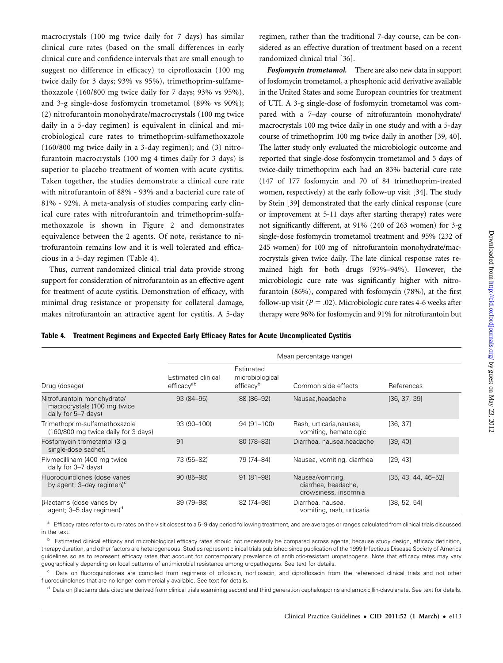macrocrystals (100 mg twice daily for 7 days) has similar clinical cure rates (based on the small differences in early clinical cure and confidence intervals that are small enough to suggest no difference in efficacy) to ciprofloxacin (100 mg twice daily for 3 days; 93% vs 95%), trimethoprim-sulfamethoxazole (160/800 mg twice daily for 7 days; 93% vs 95%), and 3-g single-dose fosfomycin trometamol (89% vs 90%); (2) nitrofurantoin monohydrate/macrocrystals (100 mg twice daily in a 5-day regimen) is equivalent in clinical and microbiological cure rates to trimethoprim-sulfamethoxazole (160/800 mg twice daily in a 3-day regimen); and (3) nitrofurantoin macrocrystals (100 mg 4 times daily for 3 days) is superior to placebo treatment of women with acute cystitis. Taken together, the studies demonstrate a clinical cure rate with nitrofurantoin of 88% - 93% and a bacterial cure rate of 81% - 92%. A meta-analysis of studies comparing early clinical cure rates with nitrofurantoin and trimethoprim-sulfamethoxazole is shown in Figure 2 and demonstrates equivalence between the 2 agents. Of note, resistance to nitrofurantoin remains low and it is well tolerated and efficacious in a 5-day regimen (Table 4).

Thus, current randomized clinical trial data provide strong support for consideration of nitrofurantoin as an effective agent for treatment of acute cystitis. Demonstration of efficacy, with minimal drug resistance or propensity for collateral damage, makes nitrofurantoin an attractive agent for cystitis. A 5-day regimen, rather than the traditional 7-day course, can be considered as an effective duration of treatment based on a recent randomized clinical trial [36].

Fosfomycin trometamol. There are also new data in support of fosfomycin trometamol, a phosphonic acid derivative available in the United States and some European countries for treatment of UTI. A 3-g single-dose of fosfomycin trometamol was compared with a 7–day course of nitrofurantoin monohydrate/ macrocrystals 100 mg twice daily in one study and with a 5-day course of trimethoprim 100 mg twice daily in another [39, 40]. The latter study only evaluated the microbiologic outcome and reported that single-dose fosfomycin trometamol and 5 days of twice-daily trimethoprim each had an 83% bacterial cure rate (147 of 177 fosfomycin and 70 of 84 trimethoprim-treated women, respectively) at the early follow-up visit [34]. The study by Stein [39] demonstrated that the early clinical response (cure or improvement at 5-11 days after starting therapy) rates were not significantly different, at 91% (240 of 263 women) for 3-g single-dose fosfomycin trometamol treatment and 95% (232 of 245 women) for 100 mg of nitrofurantoin monohydrate/macrocrystals given twice daily. The late clinical response rates remained high for both drugs (93%–94%). However, the microbiologic cure rate was significantly higher with nitrofurantoin (86%), compared with fosfomycin (78%), at the first follow-up visit ( $P = .02$ ). Microbiologic cure rates 4-6 weeks after therapy were 96% for fosfomycin and 91% for nitrofurantoin but

#### Table 4. Treatment Regimens and Expected Early Efficacy Rates for Acute Uncomplicated Cystitis

|                                                                                   | Mean percentage (range)                      |                                                       |                                                                 |                         |  |  |
|-----------------------------------------------------------------------------------|----------------------------------------------|-------------------------------------------------------|-----------------------------------------------------------------|-------------------------|--|--|
| Drug (dosage)                                                                     | Estimated clinical<br>efficacy <sup>ab</sup> | Estimated<br>microbiological<br>efficacy <sup>b</sup> | Common side effects                                             | References              |  |  |
| Nitrofurantoin monohydrate/<br>macrocrystals (100 mg twice<br>daily for 5-7 days) | 93 (84-95)                                   | 88 (86-92)                                            | Nausea, headache                                                | [36, 37, 39]            |  |  |
| Trimethoprim-sulfamethoxazole<br>(160/800 mg twice daily for 3 days)              | 93 (90-100)                                  | 94 (91-100)                                           | Rash, urticaria, nausea,<br>vomiting, hematologic               | [36, 37]                |  |  |
| Fosfomycin trometamol (3 g<br>single-dose sachet)                                 | 91                                           | 80 (78-83)                                            | Diarrhea, nausea, headache                                      | [39, 40]                |  |  |
| Pivmecillinam (400 mg twice<br>daily for 3-7 days)                                | 73 (55-82)                                   | 79 (74-84)                                            | Nausea, vomiting, diarrhea                                      | [29, 43]                |  |  |
| Fluoroquinolones (dose varies<br>by agent; 3-day regimen) <sup>c</sup>            | 90 (85-98)                                   | $91(81 - 98)$                                         | Nausea/vomiting,<br>diarrhea, headache,<br>drowsiness, insomnia | $[35, 43, 44, 46 - 52]$ |  |  |
| $\beta$ -lactams (dose varies by<br>agent; 3-5 day regimen) <sup>d</sup>          | 89 (79-98)                                   | 82 (74-98)                                            | Diarrhea, nausea,<br>vomiting, rash, urticaria                  | [38, 52, 54]            |  |  |

a Efficacy rates refer to cure rates on the visit closest to a 5-9-day period following treatment, and are averages or ranges calculated from clinical trials discussed in the text.

<sup>b</sup> Estimated clinical efficacy and microbiological efficacy rates should not necessarily be compared across agents, because study design, efficacy definition, therapy duration, and other factors are heterogeneous. Studies represent clinical trials published since publication of the 1999 Infectious Disease Society of America guidelines so as to represent efficacy rates that account for contemporary prevalence of antibiotic-resistant uropathogens. Note that efficacy rates may vary geographically depending on local patterns of antimicrobial resistance among uropathogens. See text for details.

<sup>c</sup> Data on fluoroquinolones are compiled from regimens of ofloxacin, norfloxacin, and ciprofloxacin from the referenced clinical trials and not other fluoroquinolones that are no longer commercially available. See text for details.

<sup>d</sup> Data on blactams data cited are derived from clinical trials examining second and third generation cephalosporins and amoxicillin-clavulanate. See text for details.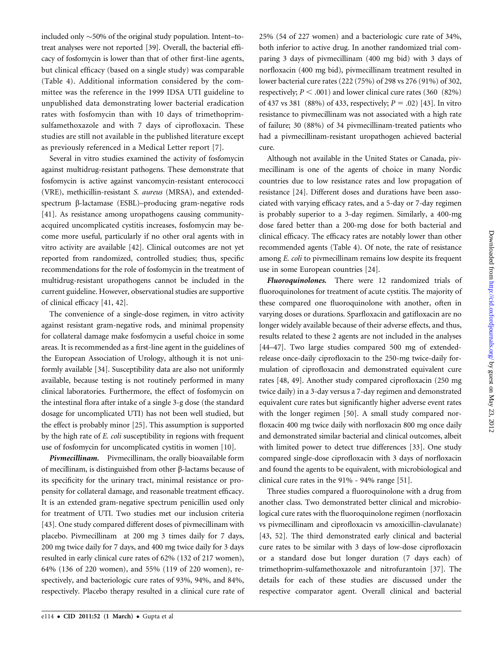included only  $\sim$  50% of the original study population. Intent-totreat analyses were not reported [39]. Overall, the bacterial efficacy of fosfomycin is lower than that of other first-line agents, but clinical efficacy (based on a single study) was comparable (Table 4). Additional information considered by the committee was the reference in the 1999 IDSA UTI guideline to unpublished data demonstrating lower bacterial eradication rates with fosfomycin than with 10 days of trimethoprimsulfamethoxazole and with 7 days of ciprofloxacin. These studies are still not available in the published literature except as previously referenced in a Medical Letter report [7].

Several in vitro studies examined the activity of fosfomycin against multidrug-resistant pathogens. These demonstrate that fosfomycin is active against vancomycin-resistant enterococci (VRE), methicillin-resistant S. aureus (MRSA), and extendedspectrum  $\beta$ -lactamase (ESBL)–producing gram-negative rods [41]. As resistance among uropathogens causing communityacquired uncomplicated cystitis increases, fosfomycin may become more useful, particularly if no other oral agents with in vitro activity are available [42]. Clinical outcomes are not yet reported from randomized, controlled studies; thus, specific recommendations for the role of fosfomycin in the treatment of multidrug-resistant uropathogens cannot be included in the current guideline. However, observational studies are supportive of clinical efficacy [41, 42].

The convenience of a single-dose regimen, in vitro activity against resistant gram-negative rods, and minimal propensity for collateral damage make fosfomycin a useful choice in some areas. It is recommended as a first-line agent in the guidelines of the European Association of Urology, although it is not uniformly available [34]. Susceptibility data are also not uniformly available, because testing is not routinely performed in many clinical laboratories. Furthermore, the effect of fosfomycin on the intestinal flora after intake of a single 3-g dose (the standard dosage for uncomplicated UTI) has not been well studied, but the effect is probably minor [25]. This assumption is supported by the high rate of E. coli susceptibility in regions with frequent use of fosfomycin for uncomplicated cystitis in women [10].

Pivmecillinam. Pivmecillinam, the orally bioavailable form of mecillinam, is distinguished from other  $\beta$ -lactams because of its specificity for the urinary tract, minimal resistance or propensity for collateral damage, and reasonable treatment efficacy. It is an extended gram-negative spectrum penicillin used only for treatment of UTI. Two studies met our inclusion criteria [43]. One study compared different doses of pivmecillinam with placebo. Pivmecillinam at 200 mg 3 times daily for 7 days, 200 mg twice daily for 7 days, and 400 mg twice daily for 3 days resulted in early clinical cure rates of 62% (132 of 217 women), 64% (136 of 220 women), and 55% (119 of 220 women), respectively, and bacteriologic cure rates of 93%, 94%, and 84%, respectively. Placebo therapy resulted in a clinical cure rate of 25% (54 of 227 women) and a bacteriologic cure rate of 34%, both inferior to active drug. In another randomized trial comparing 3 days of pivmecillinam (400 mg bid) with 3 days of norfloxacin (400 mg bid), pivmecillinam treatment resulted in lower bacterial cure rates (222 (75%) of 298 vs 276 (91%) of 302, respectively;  $P < .001$ ) and lower clinical cure rates (360 (82%) of 437 vs 381 (88%) of 433, respectively;  $P = .02$ ) [43]. In vitro resistance to pivmecillinam was not associated with a high rate of failure; 30 (88%) of 34 pivmecillinam-treated patients who had a pivmecillinam-resistant uropathogen achieved bacterial cure.

Although not available in the United States or Canada, pivmecillinam is one of the agents of choice in many Nordic countries due to low resistance rates and low propagation of resistance [24]. Different doses and durations have been associated with varying efficacy rates, and a 5-day or 7-day regimen is probably superior to a 3-day regimen. Similarly, a 400-mg dose fared better than a 200-mg dose for both bacterial and clinical efficacy. The efficacy rates are notably lower than other recommended agents (Table 4). Of note, the rate of resistance among E. coli to pivmecillinam remains low despite its frequent use in some European countries [24].

Fluoroquinolones. There were 12 randomized trials of fluoroquinolones for treatment of acute cystitis. The majority of these compared one fluoroquinolone with another, often in varying doses or durations. Sparfloxacin and gatifloxacin are no longer widely available because of their adverse effects, and thus, results related to these 2 agents are not included in the analyses [44–47]. Two large studies compared 500 mg of extendedrelease once-daily ciprofloxacin to the 250-mg twice-daily formulation of ciprofloxacin and demonstrated equivalent cure rates [48, 49]. Another study compared ciprofloxacin (250 mg twice daily) in a 3-day versus a 7-day regimen and demonstrated equivalent cure rates but significantly higher adverse event rates with the longer regimen [50]. A small study compared norfloxacin 400 mg twice daily with norfloxacin 800 mg once daily and demonstrated similar bacterial and clinical outcomes, albeit with limited power to detect true differences [33]. One study compared single-dose ciprofloxacin with 3 days of norfloxacin and found the agents to be equivalent, with microbiological and clinical cure rates in the 91% - 94% range [51].

Three studies compared a fluoroquinolone with a drug from another class. Two demonstrated better clinical and microbiological cure rates with the fluoroquinolone regimen (norfloxacin vs pivmecillinam and ciprofloxacin vs amoxicillin-clavulanate) [43, 52]. The third demonstrated early clinical and bacterial cure rates to be similar with 3 days of low-dose ciprofloxacin or a standard dose but longer duration (7 days each) of trimethoprim-sulfamethoxazole and nitrofurantoin [37]. The details for each of these studies are discussed under the respective comparator agent. Overall clinical and bacterial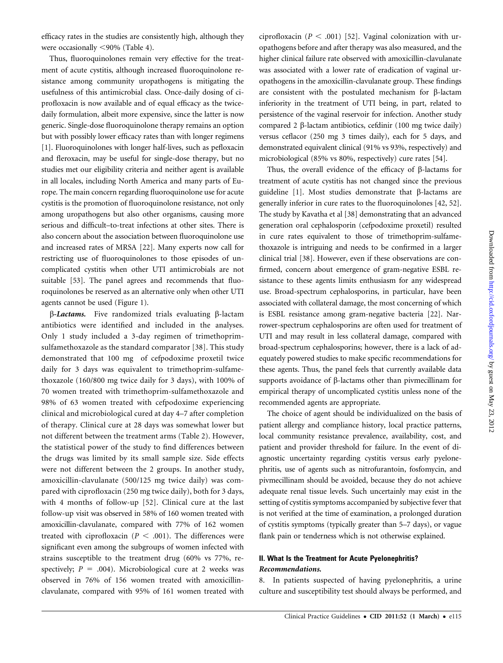Downloaded from http://cid.oxfordjournals.org/ by guest on May 23, 2012 Downloaded from <http://cid.oxfordjournals.org/> by guest on May 23, 2012

efficacy rates in the studies are consistently high, although they were occasionally <90% (Table 4).

Thus, fluoroquinolones remain very effective for the treatment of acute cystitis, although increased fluoroquinolone resistance among community uropathogens is mitigating the usefulness of this antimicrobial class. Once-daily dosing of ciprofloxacin is now available and of equal efficacy as the twicedaily formulation, albeit more expensive, since the latter is now generic. Single-dose fluoroquinolone therapy remains an option but with possibly lower efficacy rates than with longer regimens [1]. Fluoroquinolones with longer half-lives, such as pefloxacin and fleroxacin, may be useful for single-dose therapy, but no studies met our eligibility criteria and neither agent is available in all locales, including North America and many parts of Europe. The main concern regarding fluoroquinolone use for acute cystitis is the promotion of fluoroquinolone resistance, not only among uropathogens but also other organisms, causing more serious and difficult–to-treat infections at other sites. There is also concern about the association between fluoroquinolone use and increased rates of MRSA [22]. Many experts now call for restricting use of fluoroquinolones to those episodes of uncomplicated cystitis when other UTI antimicrobials are not suitable [53]. The panel agrees and recommends that fluoroquinolones be reserved as an alternative only when other UTI agents cannot be used (Figure 1).

 $\beta$ -Lactams. Five randomized trials evaluating  $\beta$ -lactam antibiotics were identified and included in the analyses. Only 1 study included a 3-day regimen of trimethoprimsulfamethoxazole as the standard comparator [38]. This study demonstrated that 100 mg of cefpodoxime proxetil twice daily for 3 days was equivalent to trimethoprim-sulfamethoxazole (160/800 mg twice daily for 3 days), with 100% of 70 women treated with trimethoprim-sulfamethoxazole and 98% of 63 women treated with cefpodoxime experiencing clinical and microbiological cured at day 4–7 after completion of therapy. Clinical cure at 28 days was somewhat lower but not different between the treatment arms (Table 2). However, the statistical power of the study to find differences between the drugs was limited by its small sample size. Side effects were not different between the 2 groups. In another study, amoxicillin-clavulanate (500/125 mg twice daily) was compared with ciprofloxacin (250 mg twice daily), both for 3 days, with 4 months of follow-up [52]. Clinical cure at the last follow-up visit was observed in 58% of 160 women treated with amoxicillin-clavulanate, compared with 77% of 162 women treated with ciprofloxacin ( $P < .001$ ). The differences were significant even among the subgroups of women infected with strains susceptible to the treatment drug (60% vs 77%, respectively;  $P = .004$ ). Microbiological cure at 2 weeks was observed in 76% of 156 women treated with amoxicillinclavulanate, compared with 95% of 161 women treated with

ciprofloxacin ( $P < .001$ ) [52]. Vaginal colonization with uropathogens before and after therapy was also measured, and the higher clinical failure rate observed with amoxicillin-clavulanate was associated with a lower rate of eradication of vaginal uropathogens in the amoxicillin-clavulanate group. These findings are consistent with the postulated mechanism for  $\beta$ -lactam inferiority in the treatment of UTI being, in part, related to persistence of the vaginal reservoir for infection. Another study compared 2 b-lactam antibiotics, cefdinir (100 mg twice daily) versus ceflacor (250 mg 3 times daily), each for 5 days, and demonstrated equivalent clinical (91% vs 93%, respectively) and microbiological (85% vs 80%, respectively) cure rates [54].

Thus, the overall evidence of the efficacy of  $\beta$ -lactams for treatment of acute cystitis has not changed since the previous guideline  $[1]$ . Most studies demonstrate that  $\beta$ -lactams are generally inferior in cure rates to the fluoroquinolones [42, 52]. The study by Kavatha et al [38] demonstrating that an advanced generation oral cephalosporin (cefpodoxime proxetil) resulted in cure rates equivalent to those of trimethoprim-sulfamethoxazole is intriguing and needs to be confirmed in a larger clinical trial [38]. However, even if these observations are confirmed, concern about emergence of gram-negative ESBL resistance to these agents limits enthusiasm for any widespread use. Broad-spectrum cephalosporins, in particular, have been associated with collateral damage, the most concerning of which is ESBL resistance among gram-negative bacteria [22]. Narrower-spectrum cephalosporins are often used for treatment of UTI and may result in less collateral damage, compared with broad-spectrum cephalosporins; however, there is a lack of adequately powered studies to make specific recommendations for these agents. Thus, the panel feels that currently available data supports avoidance of  $\beta$ -lactams other than pivmecillinam for empirical therapy of uncomplicated cystitis unless none of the recommended agents are appropriate.

The choice of agent should be individualized on the basis of patient allergy and compliance history, local practice patterns, local community resistance prevalence, availability, cost, and patient and provider threshold for failure. In the event of diagnostic uncertainty regarding cystitis versus early pyelonephritis, use of agents such as nitrofurantoin, fosfomycin, and pivmecillinam should be avoided, because they do not achieve adequate renal tissue levels. Such uncertainly may exist in the setting of cystitis symptoms accompanied by subjective fever that is not verified at the time of examination, a prolonged duration of cystitis symptoms (typically greater than 5–7 days), or vague flank pain or tenderness which is not otherwise explained.

# II. What Is the Treatment for Acute Pyelonephritis? Recommendations.

8. In patients suspected of having pyelonephritis, a urine culture and susceptibility test should always be performed, and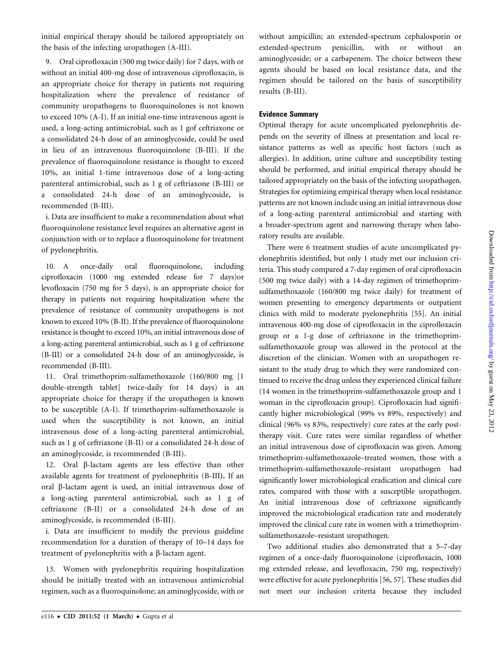initial empirical therapy should be tailored appropriately on the basis of the infecting uropathogen (A-III).

9. Oral ciprofloxacin (500 mg twice daily) for 7 days, with or without an initial 400-mg dose of intravenous ciprofloxacin, is an appropriate choice for therapy in patients not requiring hospitalization where the prevalence of resistance of community uropathogens to fluoroquinolones is not known to exceed 10% (A-I). If an initial one-time intravenous agent is used, a long-acting antimicrobial, such as 1 gof ceftriaxone or a consolidated 24-h dose of an aminoglycoside, could be used in lieu of an intravenous fluoroquinolone (B-III). If the prevalence of fluoroquinolone resistance is thought to exceed 10%, an initial 1-time intravenous dose of a long-acting parenteral antimicrobial, such as 1 g of ceftriaxone (B-III) or a consolidated 24-h dose of an aminoglycoside, is recommended (B-III).

i. Data are insufficient to make a recommendation about what fluoroquinolone resistance level requires an alternative agent in conjunction with or to replace a fluoroquinolone for treatment of pyelonephritis.

10. A once-daily oral fluoroquinolone, including ciprofloxacin (1000 mg extended release for 7 days)or levofloxacin (750 mg for 5 days), is an appropriate choice for therapy in patients not requiring hospitalization where the prevalence of resistance of community uropathogens is not known to exceed 10% (B-II). If the prevalence of fluoroquinolone resistance is thought to exceed 10%, an initial intravenous dose of a long-acting parenteral antimicrobial, such as 1 g of ceftriaxone (B-III) or a consolidated 24-h dose of an aminoglycoside, is recommended (B-III).

11. Oral trimethoprim-sulfamethoxazole (160/800 mg [1 double-strength tablet] twice-daily for 14 days) is an appropriate choice for therapy if the uropathogen is known to be susceptible (A-I). If trimethoprim-sulfamethoxazole is used when the susceptibility is not known, an initial intravenous dose of a long-acting parenteral antimicrobial, such as 1 g of ceftriaxone (B-II) or a consolidated 24-h dose of an aminoglycoside, is recommended (B-III).

12. Oral  $\beta$ -lactam agents are less effective than other available agents for treatment of pyelonephritis (B-III). If an oral  $\beta$ -lactam agent is used, an initial intravenous dose of a long-acting parenteral antimicrobial, such as 1 g of ceftriaxone (B-II) or a consolidated 24-h dose of an aminoglycoside, is recommended (B-III).

i. Data are insufficient to modify the previous guideline recommendation for a duration of therapy of 10–14 days for treatment of pyelonephritis with a  $\beta$ -lactam agent.

13. Women with pyelonephritis requiring hospitalization should be initially treated with an intravenous antimicrobial regimen, such as a fluoroquinolone; an aminoglycoside, with or without ampicillin; an extended-spectrum cephalosporin or extended-spectrum penicillin, with or without an aminoglycoside; or a carbapenem. The choice between these agents should be based on local resistance data, and the regimen should be tailored on the basis of susceptibility results (B-III).

## Evidence Summary

Optimal therapy for acute uncomplicated pyelonephritis depends on the severity of illness at presentation and local resistance patterns as well as specific host factors (such as allergies). In addition, urine culture and susceptibility testing should be performed, and initial empirical therapy should be tailored appropriately on the basis of the infecting uropathogen. Strategies for optimizing empirical therapy when local resistance patterns are not known include using an initial intravenous dose of a long-acting parenteral antimicrobial and starting with a broader-spectrum agent and narrowing therapy when laboratory results are available.

There were 6 treatment studies of acute uncomplicated pyelonephritis identified, but only 1 study met our inclusion criteria. This study compared a 7-day regimen of oral ciprofloxacin (500 mg twice daily) with a 14-day regimen of trimethoprimsulfamethoxazole (160/800 mg twice daily) for treatment of women presenting to emergency departments or outpatient clinics with mild to moderate pyelonephritis [55]. An initial intravenous 400-mg dose of ciprofloxacin in the ciprofloxacin group or a 1-g dose of ceftriaxone in the trimethoprimsulfamethoxazole group was allowed in the protocol at the discretion of the clinician. Women with an uropathogen resistant to the study drug to which they were randomized continued to receive the drug unless they experienced clinical failure (14 women in the trimethoprim-sulfamethoxazole group and 1 woman in the ciprofloxacin group). Ciprofloxacin had significantly higher microbiological (99% vs 89%, respectively) and clinical (96% vs 83%, respectively) cure rates at the early posttherapy visit. Cure rates were similar regardless of whether an initial intravenous dose of ciprofloxacin was given. Among trimethoprim-sulfamethoxazole–treated women, those with a trimethoprim-sulfamethoxazole–resistant uropathogen had significantly lower microbiological eradication and clinical cure rates, compared with those with a susceptible uropathogen. An initial intravenous dose of ceftriaxone significantly improved the microbiological eradication rate and moderately improved the clinical cure rate in women with a trimethoprimsulfamethoxazole–resistant uropathogen.

Two additional studies also demonstrated that a 5–7-day regimen of a once-daily fluoroquinolone (ciprofloxacin, 1000 mg extended release, and levofloxacin, 750 mg, respectively) were effective for acute pyelonephritis [56, 57]. These studies did not meet our inclusion criteria because they included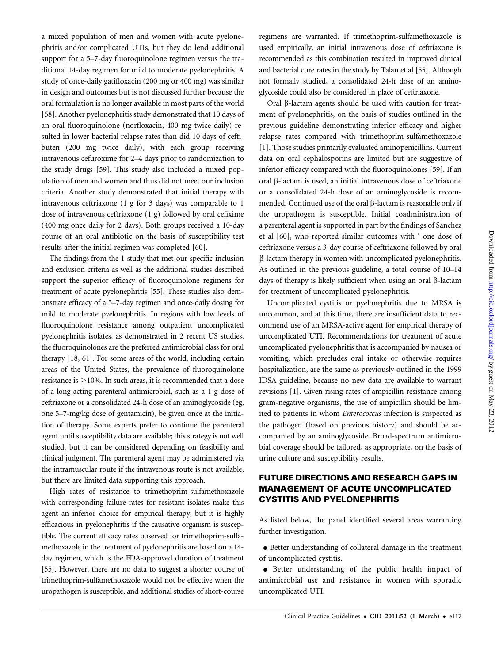a mixed population of men and women with acute pyelonephritis and/or complicated UTIs, but they do lend additional support for a 5–7-day fluoroquinolone regimen versus the traditional 14-day regimen for mild to moderate pyelonephritis. A study of once-daily gatifloxacin (200 mg or 400 mg) was similar in design and outcomes but is not discussed further because the oral formulation is no longer available in most parts of the world [58]. Another pyelonephritis study demonstrated that 10 days of an oral fluoroquinolone (norfloxacin, 400 mg twice daily) resulted in lower bacterial relapse rates than did 10 days of ceftibuten (200 mg twice daily), with each group receiving intravenous cefuroxime for 2–4 days prior to randomization to the study drugs [59]. This study also included a mixed population of men and women and thus did not meet our inclusion criteria. Another study demonstrated that initial therapy with intravenous ceftriaxone (1 g for 3 days) was comparable to 1 dose of intravenous ceftriaxone (1 g) followed by oral cefixime (400 mg once daily for 2 days). Both groups received a 10-day course of an oral antibiotic on the basis of susceptibility test results after the initial regimen was completed [60].

The findings from the 1 study that met our specific inclusion and exclusion criteria as well as the additional studies described support the superior efficacy of fluoroquinolone regimens for treatment of acute pyelonephritis [55]. These studies also demonstrate efficacy of a 5–7-day regimen and once-daily dosing for mild to moderate pyelonephritis. In regions with low levels of fluoroquinolone resistance among outpatient uncomplicated pyelonephritis isolates, as demonstrated in 2 recent US studies, the fluoroquinolones are the preferred antimicrobial class for oral therapy [18, 61]. For some areas of the world, including certain areas of the United States, the prevalence of fluoroquinolone resistance is  $>$ 10%. In such areas, it is recommended that a dose of a long-acting parenteral antimicrobial, such as a 1-g dose of ceftriaxone or a consolidated 24-h dose of an aminoglycoside (eg, one 5–7-mg/kg dose of gentamicin), be given once at the initiation of therapy. Some experts prefer to continue the parenteral agent until susceptibility data are available; this strategy is not well studied, but it can be considered depending on feasibility and clinical judgment. The parenteral agent may be administered via the intramuscular route if the intravenous route is not available, but there are limited data supporting this approach.

High rates of resistance to trimethoprim-sulfamethoxazole with corresponding failure rates for resistant isolates make this agent an inferior choice for empirical therapy, but it is highly efficacious in pyelonephritis if the causative organism is susceptible. The current efficacy rates observed for trimethoprim-sulfamethoxazole in the treatment of pyelonephritis are based on a 14 day regimen, which is the FDA-approved duration of treatment [55]. However, there are no data to suggest a shorter course of trimethoprim-sulfamethoxazole would not be effective when the uropathogen is susceptible, and additional studies of short-course regimens are warranted. If trimethoprim-sulfamethoxazole is used empirically, an initial intravenous dose of ceftriaxone is recommended as this combination resulted in improved clinical and bacterial cure rates in the study by Talan et al [55]. Although not formally studied, a consolidated 24-h dose of an aminoglycoside could also be considered in place of ceftriaxone.

Oral  $\beta$ -lactam agents should be used with caution for treatment of pyelonephritis, on the basis of studies outlined in the previous guideline demonstrating inferior efficacy and higher relapse rates compared with trimethoprim-sulfamethoxazole [1]. Those studies primarily evaluated aminopenicillins. Current data on oral cephalosporins are limited but are suggestive of inferior efficacy compared with the fluoroquinolones [59]. If an oral b-lactam is used, an initial intravenous dose of ceftriaxone or a consolidated 24-h dose of an aminoglycoside is recommended. Continued use of the oral  $\beta$ -lactam is reasonable only if the uropathogen is susceptible. Initial coadministration of a parenteral agent is supported in part by the findings of Sanchez et al [60], who reported similar outcomes with ' one dose of ceftriaxone versus a 3-day course of ceftriaxone followed by oral b-lactam therapy in women with uncomplicated pyelonephritis. As outlined in the previous guideline, a total course of 10–14 days of therapy is likely sufficient when using an oral  $\beta$ -lactam for treatment of uncomplicated pyelonephritis.

Uncomplicated cystitis or pyelonephritis due to MRSA is uncommon, and at this time, there are insufficient data to recommend use of an MRSA-active agent for empirical therapy of uncomplicated UTI. Recommendations for treatment of acute uncomplicated pyelonephritis that is accompanied by nausea or vomiting, which precludes oral intake or otherwise requires hospitalization, are the same as previously outlined in the 1999 IDSA guideline, because no new data are available to warrant revisions [1]. Given rising rates of ampicillin resistance among gram-negative organisms, the use of ampicillin should be limited to patients in whom Enterococcus infection is suspected as the pathogen (based on previous history) and should be accompanied by an aminoglycoside. Broad-spectrum antimicrobial coverage should be tailored, as appropriate, on the basis of urine culture and susceptibility results.

# FUTURE DIRECTIONS AND RESEARCH GAPS IN MANAGEMENT OF ACUTE UNCOMPLICATED CYSTITIS AND PYELONEPHRITIS

As listed below, the panel identified several areas warranting further investigation.

<sup>d</sup> Better understanding of collateral damage in the treatment of uncomplicated cystitis.

<sup>d</sup> Better understanding of the public health impact of antimicrobial use and resistance in women with sporadic uncomplicated UTI.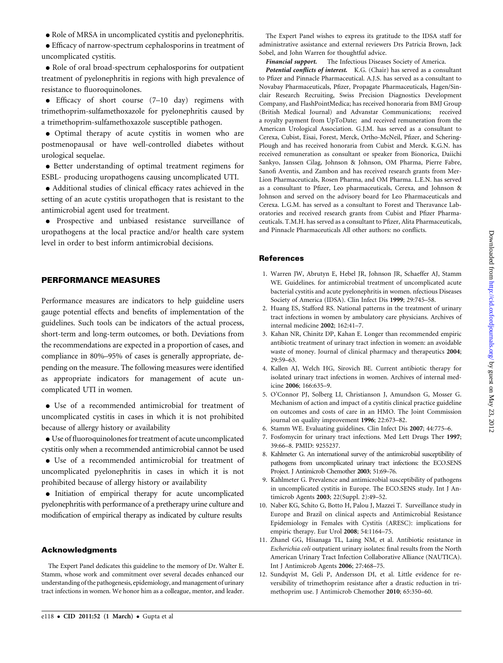<sup>d</sup> Efficacy of narrow-spectrum cephalosporins in treatment of uncomplicated cystitis.

<sup>d</sup> Role of oral broad-spectrum cephalosporins for outpatient treatment of pyelonephritis in regions with high prevalence of resistance to fluoroquinolones.

<sup>d</sup> Efficacy of short course (7–10 day) regimens with trimethoprim-sulfamethoxazole for pyelonephritis caused by a trimethoprim-sulfamethoxazole susceptible pathogen.

<sup>d</sup> Optimal therapy of acute cystitis in women who are postmenopausal or have well-controlled diabetes without urological sequelae.

<sup>d</sup> Better understanding of optimal treatment regimens for ESBL- producing uropathogens causing uncomplicated UTI.

<sup>d</sup> Additional studies of clinical efficacy rates achieved in the setting of an acute cystitis uropathogen that is resistant to the antimicrobial agent used for treatment.

<sup>d</sup> Prospective and unbiased resistance surveillance of uropathogens at the local practice and/or health care system level in order to best inform antimicrobial decisions.

## PERFORMANCE MEASURES

Performance measures are indicators to help guideline users gauge potential effects and benefits of implementation of the guidelines. Such tools can be indicators of the actual process, short-term and long-term outcomes, or both. Deviations from the recommendations are expected in a proportion of cases, and compliance in 80%–95% of cases is generally appropriate, depending on the measure. The following measures were identified as appropriate indicators for management of acute uncomplicated UTI in women.

<sup>d</sup> Use of a recommended antimicrobial for treatment of uncomplicated cystitis in cases in which it is not prohibited because of allergy history or availability

<sup>d</sup> Use of fluoroquinolones for treatment of acute uncomplicated cystitis only when a recommended antimicrobial cannot be used

<sup>d</sup> Use of a recommended antimicrobial for treatment of uncomplicated pyelonephritis in cases in which it is not prohibited because of allergy history or availability

<sup>d</sup> Initiation of empirical therapy for acute uncomplicated pyelonephritis with performance of a pretherapy urine culture and modification of empirical therapy as indicated by culture results

#### Acknowledgments

The Expert Panel dedicates this guideline to the memory of Dr. Walter E. Stamm, whose work and commitment over several decades enhanced our understanding of the pathogenesis, epidemiology, and management of urinary tract infections in women. We honor him as a colleague, mentor, and leader.

The Expert Panel wishes to express its gratitude to the IDSA staff for administrative assistance and external reviewers Drs Patricia Brown, Jack Sobel, and John Warren for thoughtful advice.

Financial support. The Infectious Diseases Society of America.

Potential conflicts of interest. K.G. (Chair) has served as a consultant to Pfizer and Pinnacle Pharmaceutical. A.J.S. has served as a consultant to Novabay Pharmaceuticals, Pfizer, Propagate Pharmaceuticals, Hagen/Sinclair Research Recruiting, Swiss Precision Diagnostics Development Company, and FlashPointMedica; has received honoraria from BMJ Group (British Medical Journal) and Advanstar Communications; received a royalty payment from UpToDate; and received remuneration from the American Urological Association. G.J.M. has served as a consultant to Cerexa, Cubist, Eisai, Forest, Merck, Ortho-McNeil, Pfizer, and Schering-Plough and has received honoraria from Cubist and Merck. K.G.N. has received remuneration as consultant or speaker from Bionorica, Daiichi Sankyo, Janssen Cilag, Johnson & Johnson, OM Pharma, Pierre Fabre, Sanofi Aventis, and Zambon and has received research grants from Mer-Lion Pharmaceuticals, Rosen Pharma, and OM Pharma. L.E.N. has served as a consultant to Pfizer, Leo pharmaceuticals, Cerexa, and Johnson & Johnson and served on the advisory board for Leo Pharmaceuticals and Cerexa. L.G.M. has served as a consultant to Forest and Theravance Laboratories and received research grants from Cubist and Pfizer Pharmaceuticals. T.M.H. has served as a consultant to Pfizer, Alita Pharmaceuticals, and Pinnacle Pharmaceuticals All other authors: no conflicts.

#### **References**

- 1. Warren JW, Abrutyn E, Hebel JR, Johnson JR, Schaeffer AJ, Stamm WE. Guidelines. for antimicrobial treatment of uncomplicated acute bacterial cystitis and acute pyelonephritis in women. nfectious Diseases Society of America (IDSA). Clin Infect Dis 1999; 29:745–58.
- 2. Huang ES, Stafford RS. National patterns in the treatment of urinary tract infections in women by ambulatory care physicians. Archives of internal medicine 2002; 162:41–7.
- 3. Kahan NR, Chinitz DP, Kahan E. Longer than recommended empiric antibiotic treatment of urinary tract infection in women: an avoidable waste of money. Journal of clinical pharmacy and therapeutics 2004; 29:59–63.
- 4. Kallen AJ, Welch HG, Sirovich BE. Current antibiotic therapy for isolated urinary tract infections in women. Archives of internal medicine 2006; 166:635–9.
- 5. O'Connor PJ, Solberg LI, Christianson J, Amundson G, Mosser G. Mechanism of action and impact of a cystitis clinical practice guideline on outcomes and costs of care in an HMO. The Joint Commission journal on quality improvement 1996; 22:673–82.
- 6. Stamm WE. Evaluating guidelines. Clin Infect Dis 2007; 44:775–6.
- 7. Fosfomycin for urinary tract infections. Med Lett Drugs Ther 1997; 39:66–8. PMID: 9255237.
- 8. Kahlmeter G. An international survey of the antimicrobial susceptibility of pathogens from uncomplicated urinary tract infections: the ECO.SENS Project. J Antimicrob Chemother 2003; 51:69–76.
- 9. Kahlmeter G. Prevalence and antimicrobial susceptibility of pathogens in uncomplicated cystitis in Europe. The ECO.SENS study. Int J Antimicrob Agents 2003; 22(Suppl. 2):49–52.
- 10. Naber KG, Schito G, Botto H, Palou J, Mazzei T. Surveillance study in Europe and Brazil on clinical aspects and Antimicrobial Resistance Epidemiology in Females with Cystitis (ARESC): implications for empiric therapy. Eur Urol 2008; 54:1164–75.
- 11. Zhanel GG, Hisanaga TL, Laing NM, et al. Antibiotic resistance in Escherichia coli outpatient urinary isolates: final results from the North American Urinary Tract Infection Collaborative Alliance (NAUTICA). Int J Antimicrob Agents 2006; 27:468–75.
- 12. Sundqvist M, Geli P, Andersson DI, et al. Little evidence for reversibility of trimethoprim resistance after a drastic reduction in trimethoprim use. J Antimicrob Chemother 2010; 65:350–60.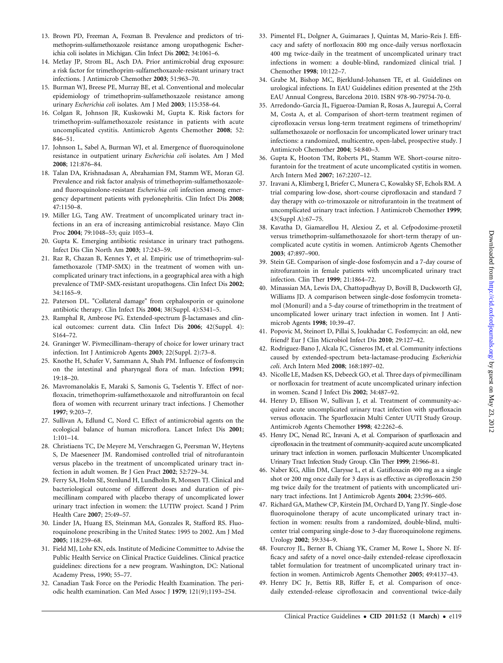- 13. Brown PD, Freeman A, Foxman B. Prevalence and predictors of trimethoprim-sulfamethoxazole resistance among uropathogenic Escherichia coli isolates in Michigan. Clin Infect Dis 2002; 34:1061–6.
- 14. Metlay JP, Strom BL, Asch DA. Prior antimicrobial drug exposure: a risk factor for trimethoprim-sulfamethoxazole-resistant urinary tract infections. J Antimicrob Chemother 2003; 51:963–70.
- 15. Burman WJ, Breese PE, Murray BE, et al. Conventional and molecular epidemiology of trimethoprim-sulfamethoxazole resistance among urinary Escherichia coli isolates. Am J Med 2003; 115:358–64.
- 16. Colgan R, Johnson JR, Kuskowski M, Gupta K. Risk factors for trimethoprim-sulfamethoxazole resistance in patients with acute uncomplicated cystitis. Antimicrob Agents Chemother 2008; 52: 846–51.
- 17. Johnson L, Sabel A, Burman WJ, et al. Emergence of fluoroquinolone resistance in outpatient urinary Escherichia coli isolates. Am J Med 2008; 121:876–84.
- 18. Talan DA, Krishnadasan A, Abrahamian FM, Stamm WE, Moran GJ. Prevalence and risk factor analysis of trimethoprim-sulfamethoxazoleand fluoroquinolone-resistant Escherichia coli infection among emergency department patients with pyelonephritis. Clin Infect Dis 2008; 47:1150–8.
- 19. Miller LG, Tang AW. Treatment of uncomplicated urinary tract infections in an era of increasing antimicrobial resistance. Mayo Clin Proc 2004; 79:1048–53; quiz 1053–4.
- 20. Gupta K. Emerging antibiotic resistance in urinary tract pathogens. Infect Dis Clin North Am 2003; 17:243–59.
- 21. Raz R, Chazan B, Kennes Y, et al. Empiric use of trimethoprim-sulfamethoxazole (TMP-SMX) in the treatment of women with uncomplicated urinary tract infections, in a geographical area with a high prevalence of TMP-SMX-resistant uropathogens. Clin Infect Dis 2002; 34:1165–9.
- 22. Paterson DL. "Collateral damage" from cephalosporin or quinolone antibiotic therapy. Clin Infect Dis 2004; 38(Suppl. 4):S341–5.
- 23. Ramphal R, Ambrose PG. Extended-spectrum  $\beta$ -lactamases and clinical outcomes: current data. Clin Infect Dis 2006; 42(Suppl. 4): S164–72.
- 24. Graninger W. Pivmecillinam–therapy of choice for lower urinary tract infection. Int J Antimicrob Agents 2003; 22(Suppl. 2):73–8.
- 25. Knothe H, Schafer V, Sammann A, Shah PM. Influence of fosfomycin on the intestinal and pharyngeal flora of man. Infection 1991; 19:18–20.
- 26. Mavromanolakis E, Maraki S, Samonis G, Tselentis Y. Effect of norfloxacin, trimethoprim-sulfamethoxazole and nitroffurantoin on fecal flora of women with recurrent urinary tract infections. J Chemother 1997; 9:203–7.
- 27. Sullivan A, Edlund C, Nord C. Effect of antimicrobial agents on the ecological balance of human microflora. Lancet Infect Dis 2001; 1:101–14.
- 28. Christiaens TC, De Meyere M, Verschraegen G, Peersman W, Heytens S, De Maeseneer JM. Randomised controlled trial of nitrofurantoin versus placebo in the treatment of uncomplicated urinary tract infection in adult women. Br J Gen Pract 2002; 52:729–34.
- 29. Ferry SA, Holm SE, Stenlund H, Lundholm R, Monsen TJ. Clinical and bacteriological outcome of different doses and duration of pivmecillinam compared with placebo therapy of uncomplicated lower urinary tract infection in women: the LUTIW project. Scand J Prim Health Care 2007; 25:49–57.
- 30. Linder JA, Huang ES, Steinman MA, Gonzales R, Stafford RS. Fluoroquinolone prescribing in the United States: 1995 to 2002. Am J Med 2005; 118:259–68.
- 31. Field MJ, Lohr KN, eds. Institute of Medicine Committee to Advise the Public Health Service on Clinical Practice Guidelines. Clinical practice guidelines: directions for a new program. Washington, DC: National Academy Press, 1990; 55–77.
- 32. Canadian Task Force on the Periodic Health Examination. The periodic health examination. Can Med Assoc J 1979; 121(9);1193–254.
- 33. Pimentel FL, Dolgner A, Guimaraes J, Quintas M, Mario-Reis J. Efficacy and safety of norfloxacin 800 mg once-daily versus norfloxacin 400 mg twice-daily in the treatment of uncomplicated urinary tract infections in women: a double-blind, randomized clinical trial. J Chemother 1998; 10:122–7.
- 34. Grabe M, Bishop MC, Bjerklund-Johansen TE, et al. Guidelines on urological infections. In EAU Guidelines edition presented at the 25th EAU Annual Congress, Barcelona 2010. ISBN 978-90-79754-70-0.
- 35. Arredondo-Garcia JL, Figueroa-Damian R, Rosas A, Jauregui A, Corral M, Costa A, et al. Comparison of short-term treatment regimen of ciprofloxacin versus long-term treatment regimens of trimethoprim/ sulfamethoxazole or norfloxacin for uncomplicated lower urinary tract infections: a randomized, multicentre, open-label, prospective study. J Antimicrob Chemother 2004; 54:840–3.
- 36. Gupta K, Hooton TM, Roberts PL, Stamm WE. Short-course nitrofurantoin for the treatment of acute uncomplicated cystitis in women. Arch Intern Med 2007; 167:2207–12.
- 37. Iravani A, Klimberg I, Briefer C, Munera C, Kowalsky SF, Echols RM. A trial comparing low-dose, short-course ciprofloxacin and standard 7 day therapy with co-trimoxazole or nitrofurantoin in the treatment of uncomplicated urinary tract infection. J Antimicrob Chemother 1999; 43(Suppl A):67–75.
- 38. Kavatha D, Giamarellou H, Alexiou Z, et al. Cefpodoxime-proxetil versus trimethoprim-sulfamethoxazole for short-term therapy of uncomplicated acute cystitis in women. Antimicrob Agents Chemother 2003; 47:897–900.
- 39. Stein GE. Comparison of single-dose fosfomycin and a 7-day course of nitrofurantoin in female patients with uncomplicated urinary tract infection. Clin Ther 1999; 21:1864–72.
- 40. Minassian MA, Lewis DA, Chattopadhyay D, Bovill B, Duckworth GJ, Williams JD. A comparison between single-dose fosfomycin trometamol (Monuril) and a 5-day course of trimethoprim in the treatment of uncomplicated lower urinary tract infection in women. Int J Antimicrob Agents 1998; 10:39–47.
- 41. Popovic M, Steinort D, Pillai S, Joukhadar C. Fosfomycin: an old, new friend? Eur J Clin Microbiol Infect Dis 2010; 29:127–42.
- 42. Rodriguez-Bano J, Alcala JC, Cisneros JM, et al. Community infections caused by extended-spectrum beta-lactamase-producing Escherichia coli. Arch Intern Med 2008; 168:1897–02.
- 43. Nicolle LE, Madsen KS, Debeeck GO, et al. Three days of pivmecillinam or norfloxacin for treatment of acute uncomplicated urinary infection in women. Scand J Infect Dis 2002; 34:487–92.
- 44. Henry D, Ellison W, Sullivan J, et al. Treatment of community-acquired acute uncomplicated urinary tract infection with sparfloxacin versus ofloxacin. The Sparfloxacin Multi Center UUTI Study Group. Antimicrob Agents Chemother 1998; 42:2262–6.
- 45. Henry DC, Nenad RC, Iravani A, et al. Comparison of sparfloxacin and ciprofloxacin in the treatment of community-acquired acute uncomplicated urinary tract infection in women. parfloxacin Multicenter Uncomplicated Urinary Tract Infection Study Group. Clin Ther 1999; 21:966–81.
- 46. Naber KG, Allin DM, Clarysse L, et al. Gatifloxacin 400 mg as a single shot or 200 mg once daily for 3 days is as effective as ciprofloxacin 250 mg twice daily for the treatment of patients with uncomplicated urinary tract infections. Int J Antimicrob Agents 2004; 23:596–605.
- 47. Richard GA, Mathew CP, Kirstein JM, Orchard D, Yang JY. Single-dose fluoroquinolone therapy of acute uncomplicated urinary tract infection in women: results from a randomized, double-blind, multicenter trial comparing single-dose to 3-day fluoroquinolone regimens. Urology 2002; 59:334–9.
- 48. Fourcroy JL, Berner B, Chiang YK, Cramer M, Rowe L, Shore N. Efficacy and safety of a novel once-daily extended-release ciprofloxacin tablet formulation for treatment of uncomplicated urinary tract infection in women. Antimicrob Agents Chemother 2005; 49:4137–43.
- 49. Henry DC Jr, Bettis RB, Riffer E, et al. Comparison of oncedaily extended-release ciprofloxacin and conventional twice-daily